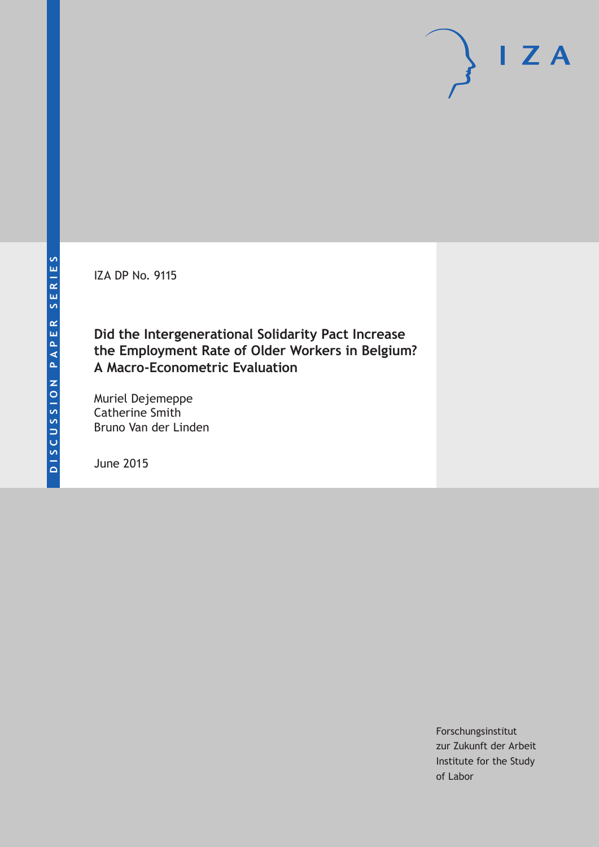IZA DP No. 9115

**Did the Intergenerational Solidarity Pact Increase the Employment Rate of Older Workers in Belgium? A Macro-Econometric Evaluation**

Muriel Dejemeppe Catherine Smith Bruno Van der Linden

June 2015

Forschungsinstitut zur Zukunft der Arbeit Institute for the Study of Labor

 $I Z A$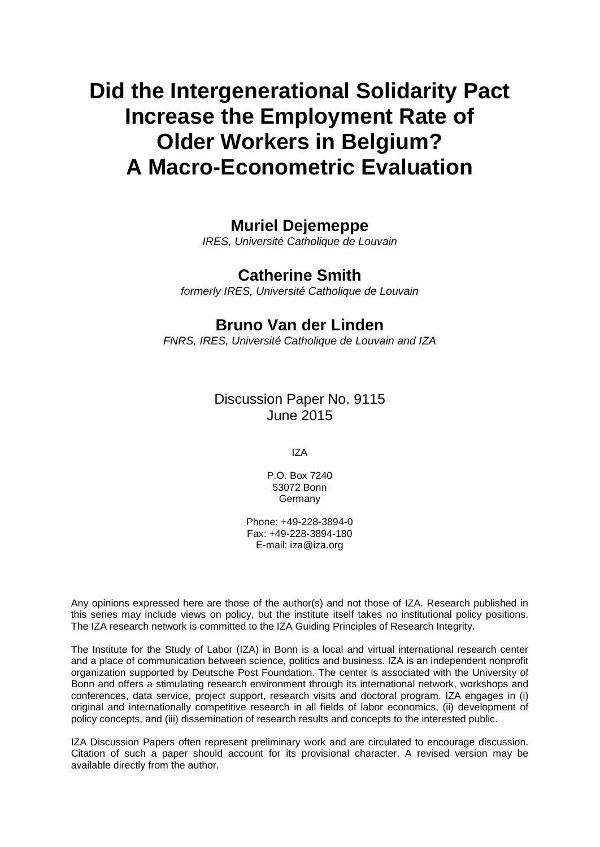# **Did the Intergenerational Solidarity Pact Increase the Employment Rate of Older Workers in Belgium? A Macro-Econometric Evaluation**

## **Muriel Dejemeppe**

*IRES, Université Catholique de Louvain*

## **Catherine Smith**

*formerly IRES, Université Catholique de Louvain*

## **Bruno Van der Linden**

*FNRS, IRES, Université Catholique de Louvain and IZA*

## Discussion Paper No. 9115 June 2015

IZA

P.O. Box 7240 53072 Bonn Germany

Phone: +49-228-3894-0 Fax: +49-228-3894-180 E-mail: iza@iza.org

Any opinions expressed here are those of the author(s) and not those of IZA. Research published in this series may include views on policy, but the institute itself takes no institutional policy positions. The IZA research network is committed to the IZA Guiding Principles of Research Integrity.

The Institute for the Study of Labor (IZA) in Bonn is a local and virtual international research center and a place of communication between science, politics and business. IZA is an independent nonprofit organization supported by Deutsche Post Foundation. The center is associated with the University of Bonn and offers a stimulating research environment through its international network, workshops and conferences, data service, project support, research visits and doctoral program. IZA engages in (i) original and internationally competitive research in all fields of labor economics, (ii) development of policy concepts, and (iii) dissemination of research results and concepts to the interested public.

IZA Discussion Papers often represent preliminary work and are circulated to encourage discussion. Citation of such a paper should account for its provisional character. A revised version may be available directly from the author.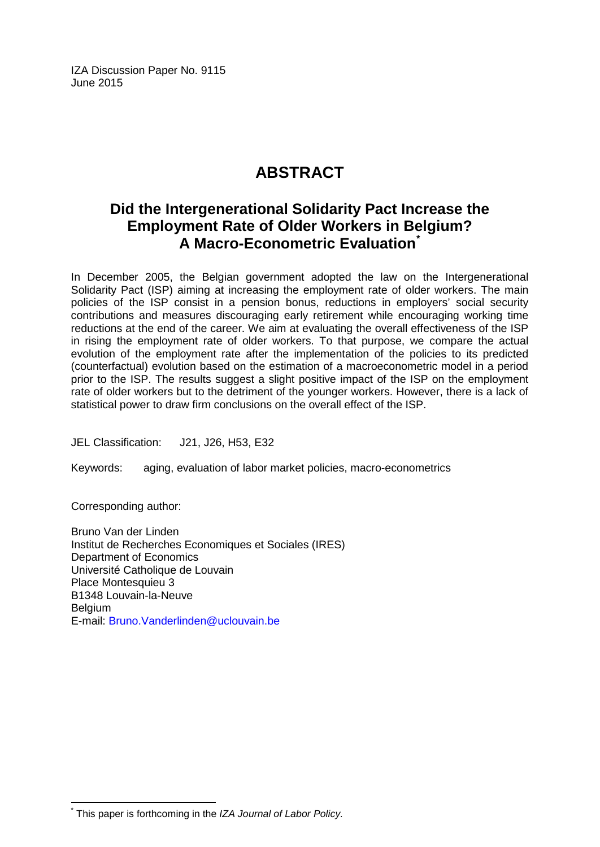IZA Discussion Paper No. 9115 June 2015

## **ABSTRACT**

## **Did the Intergenerational Solidarity Pact Increase the Employment Rate of Older Workers in Belgium? A Macro-Econometric Evaluation[\\*](#page-2-0)**

In December 2005, the Belgian government adopted the law on the Intergenerational Solidarity Pact (ISP) aiming at increasing the employment rate of older workers. The main policies of the ISP consist in a pension bonus, reductions in employers' social security contributions and measures discouraging early retirement while encouraging working time reductions at the end of the career. We aim at evaluating the overall effectiveness of the ISP in rising the employment rate of older workers. To that purpose, we compare the actual evolution of the employment rate after the implementation of the policies to its predicted (counterfactual) evolution based on the estimation of a macroeconometric model in a period prior to the ISP. The results suggest a slight positive impact of the ISP on the employment rate of older workers but to the detriment of the younger workers. However, there is a lack of statistical power to draw firm conclusions on the overall effect of the ISP.

JEL Classification: J21, J26, H53, E32

Keywords: aging, evaluation of labor market policies, macro-econometrics

Corresponding author:

Bruno Van der Linden Institut de Recherches Economiques et Sociales (IRES) Department of Economics Université Catholique de Louvain Place Montesquieu 3 B1348 Louvain-la-Neuve **Belgium** E-mail: [Bruno.Vanderlinden@uclouvain.be](mailto:Bruno.Vanderlinden@uclouvain.be)

<span id="page-2-0"></span>\* This paper is forthcoming in the *IZA Journal of Labor Policy.*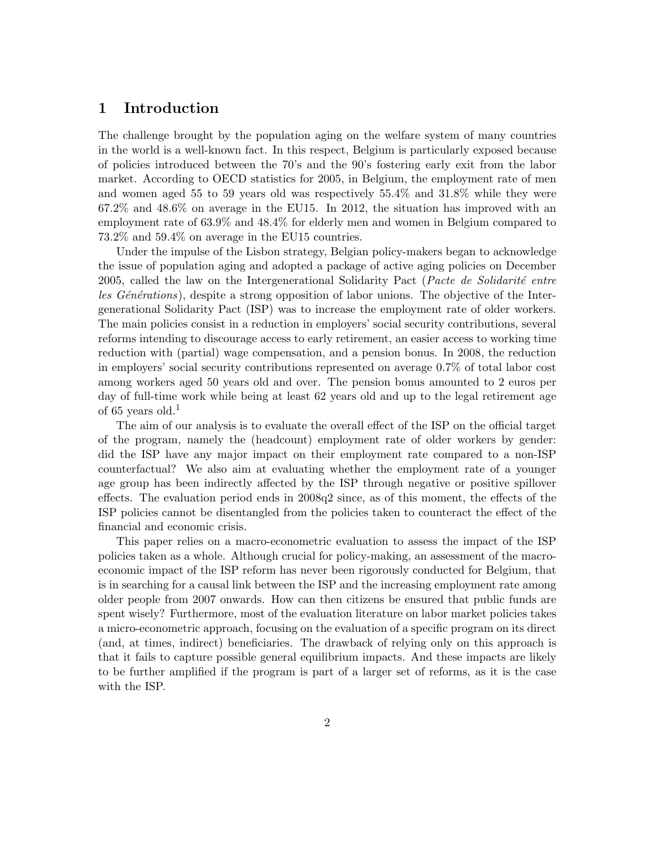### 1 Introduction

The challenge brought by the population aging on the welfare system of many countries in the world is a well-known fact. In this respect, Belgium is particularly exposed because of policies introduced between the 70's and the 90's fostering early exit from the labor market. According to OECD statistics for 2005, in Belgium, the employment rate of men and women aged 55 to 59 years old was respectively 55.4% and 31.8% while they were 67.2% and 48.6% on average in the EU15. In 2012, the situation has improved with an employment rate of 63.9% and 48.4% for elderly men and women in Belgium compared to 73.2% and 59.4% on average in the EU15 countries.

Under the impulse of the Lisbon strategy, Belgian policy-makers began to acknowledge the issue of population aging and adopted a package of active aging policies on December 2005, called the law on the Intergenerational Solidarity Pact (Pacte de Solidarité entre les  $G\acute{e}n\acute{e}rations$ , despite a strong opposition of labor unions. The objective of the Intergenerational Solidarity Pact (ISP) was to increase the employment rate of older workers. The main policies consist in a reduction in employers' social security contributions, several reforms intending to discourage access to early retirement, an easier access to working time reduction with (partial) wage compensation, and a pension bonus. In 2008, the reduction in employers' social security contributions represented on average 0.7% of total labor cost among workers aged 50 years old and over. The pension bonus amounted to 2 euros per day of full-time work while being at least 62 years old and up to the legal retirement age of 65 years old.<sup>1</sup>

The aim of our analysis is to evaluate the overall effect of the ISP on the official target of the program, namely the (headcount) employment rate of older workers by gender: did the ISP have any major impact on their employment rate compared to a non-ISP counterfactual? We also aim at evaluating whether the employment rate of a younger age group has been indirectly affected by the ISP through negative or positive spillover effects. The evaluation period ends in 2008q2 since, as of this moment, the effects of the ISP policies cannot be disentangled from the policies taken to counteract the effect of the financial and economic crisis.

This paper relies on a macro-econometric evaluation to assess the impact of the ISP policies taken as a whole. Although crucial for policy-making, an assessment of the macroeconomic impact of the ISP reform has never been rigorously conducted for Belgium, that is in searching for a causal link between the ISP and the increasing employment rate among older people from 2007 onwards. How can then citizens be ensured that public funds are spent wisely? Furthermore, most of the evaluation literature on labor market policies takes a micro-econometric approach, focusing on the evaluation of a specific program on its direct (and, at times, indirect) beneficiaries. The drawback of relying only on this approach is that it fails to capture possible general equilibrium impacts. And these impacts are likely to be further amplified if the program is part of a larger set of reforms, as it is the case with the ISP.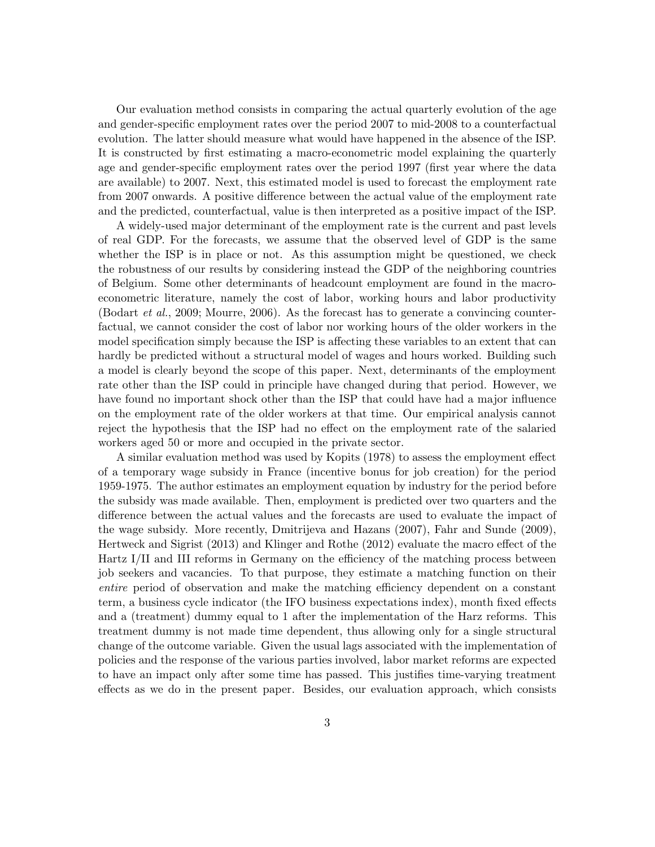Our evaluation method consists in comparing the actual quarterly evolution of the age and gender-specific employment rates over the period 2007 to mid-2008 to a counterfactual evolution. The latter should measure what would have happened in the absence of the ISP. It is constructed by first estimating a macro-econometric model explaining the quarterly age and gender-specific employment rates over the period 1997 (first year where the data are available) to 2007. Next, this estimated model is used to forecast the employment rate from 2007 onwards. A positive difference between the actual value of the employment rate and the predicted, counterfactual, value is then interpreted as a positive impact of the ISP.

A widely-used major determinant of the employment rate is the current and past levels of real GDP. For the forecasts, we assume that the observed level of GDP is the same whether the ISP is in place or not. As this assumption might be questioned, we check the robustness of our results by considering instead the GDP of the neighboring countries of Belgium. Some other determinants of headcount employment are found in the macroeconometric literature, namely the cost of labor, working hours and labor productivity [\(Bodart](#page-22-0) et al., [2009;](#page-22-0) [Mourre,](#page-24-0) [2006\)](#page-24-0). As the forecast has to generate a convincing counterfactual, we cannot consider the cost of labor nor working hours of the older workers in the model specification simply because the ISP is affecting these variables to an extent that can hardly be predicted without a structural model of wages and hours worked. Building such a model is clearly beyond the scope of this paper. Next, determinants of the employment rate other than the ISP could in principle have changed during that period. However, we have found no important shock other than the ISP that could have had a major influence on the employment rate of the older workers at that time. Our empirical analysis cannot reject the hypothesis that the ISP had no effect on the employment rate of the salaried workers aged 50 or more and occupied in the private sector.

A similar evaluation method was used by [Kopits](#page-24-1) [\(1978\)](#page-24-1) to assess the employment effect of a temporary wage subsidy in France (incentive bonus for job creation) for the period 1959-1975. The author estimates an employment equation by industry for the period before the subsidy was made available. Then, employment is predicted over two quarters and the difference between the actual values and the forecasts are used to evaluate the impact of the wage subsidy. More recently, [Dmitrijeva and Hazans](#page-22-1) [\(2007\)](#page-22-1), [Fahr and Sunde](#page-23-0) [\(2009\)](#page-23-0), [Hertweck and Sigrist](#page-23-1) [\(2013\)](#page-23-1) and [Klinger and Rothe](#page-24-2) [\(2012\)](#page-24-2) evaluate the macro effect of the Hartz I/II and III reforms in Germany on the efficiency of the matching process between job seekers and vacancies. To that purpose, they estimate a matching function on their entire period of observation and make the matching efficiency dependent on a constant term, a business cycle indicator (the IFO business expectations index), month fixed effects and a (treatment) dummy equal to 1 after the implementation of the Harz reforms. This treatment dummy is not made time dependent, thus allowing only for a single structural change of the outcome variable. Given the usual lags associated with the implementation of policies and the response of the various parties involved, labor market reforms are expected to have an impact only after some time has passed. This justifies time-varying treatment effects as we do in the present paper. Besides, our evaluation approach, which consists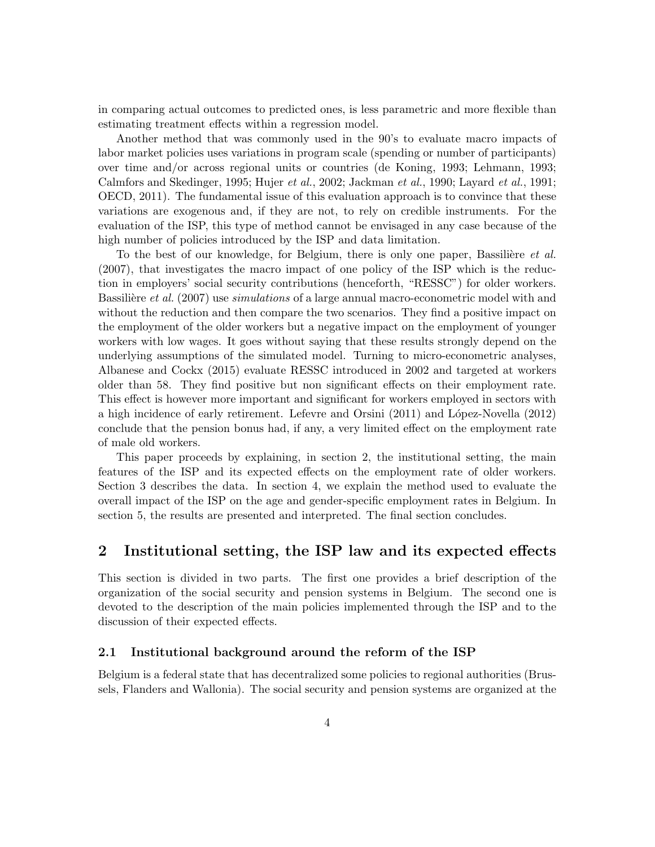in comparing actual outcomes to predicted ones, is less parametric and more flexible than estimating treatment effects within a regression model.

Another method that was commonly used in the 90's to evaluate macro impacts of labor market policies uses variations in program scale (spending or number of participants) over time and/or across regional units or countries [\(de Koning,](#page-22-2) [1993;](#page-22-2) [Lehmann,](#page-24-3) [1993;](#page-24-3) [Calmfors and Skedinger,](#page-22-3) [1995;](#page-22-3) [Hujer](#page-23-2) et al., [2002;](#page-23-2) [Jackman](#page-23-3) et al., [1990;](#page-23-3) [Layard](#page-24-4) et al., [1991;](#page-24-4) [OECD,](#page-24-5) [2011\)](#page-24-5). The fundamental issue of this evaluation approach is to convince that these variations are exogenous and, if they are not, to rely on credible instruments. For the evaluation of the ISP, this type of method cannot be envisaged in any case because of the high number of policies introduced by the ISP and data limitation.

To the best of our knowledge, for Belgium, there is only one paper, Bassilière *et al.* [\(2007\)](#page-22-4), that investigates the macro impact of one policy of the ISP which is the reduction in employers' social security contributions (henceforth, "RESSC") for older workers. Bassilière et al. [\(2007\)](#page-22-4) use *simulations* of a large annual macro-econometric model with and without the reduction and then compare the two scenarios. They find a positive impact on the employment of the older workers but a negative impact on the employment of younger workers with low wages. It goes without saying that these results strongly depend on the underlying assumptions of the simulated model. Turning to micro-econometric analyses, [Albanese and Cockx](#page-22-5) [\(2015\)](#page-22-5) evaluate RESSC introduced in 2002 and targeted at workers older than 58. They find positive but non significant effects on their employment rate. This effect is however more important and significant for workers employed in sectors with a high incidence of early retirement. [Lefevre and Orsini](#page-24-6) [\(2011\)](#page-24-6) and [L´opez-Novella](#page-24-7) [\(2012\)](#page-24-7) conclude that the pension bonus had, if any, a very limited effect on the employment rate of male old workers.

This paper proceeds by explaining, in section 2, the institutional setting, the main features of the ISP and its expected effects on the employment rate of older workers. Section 3 describes the data. In section 4, we explain the method used to evaluate the overall impact of the ISP on the age and gender-specific employment rates in Belgium. In section 5, the results are presented and interpreted. The final section concludes.

### 2 Institutional setting, the ISP law and its expected effects

This section is divided in two parts. The first one provides a brief description of the organization of the social security and pension systems in Belgium. The second one is devoted to the description of the main policies implemented through the ISP and to the discussion of their expected effects.

#### 2.1 Institutional background around the reform of the ISP

Belgium is a federal state that has decentralized some policies to regional authorities (Brussels, Flanders and Wallonia). The social security and pension systems are organized at the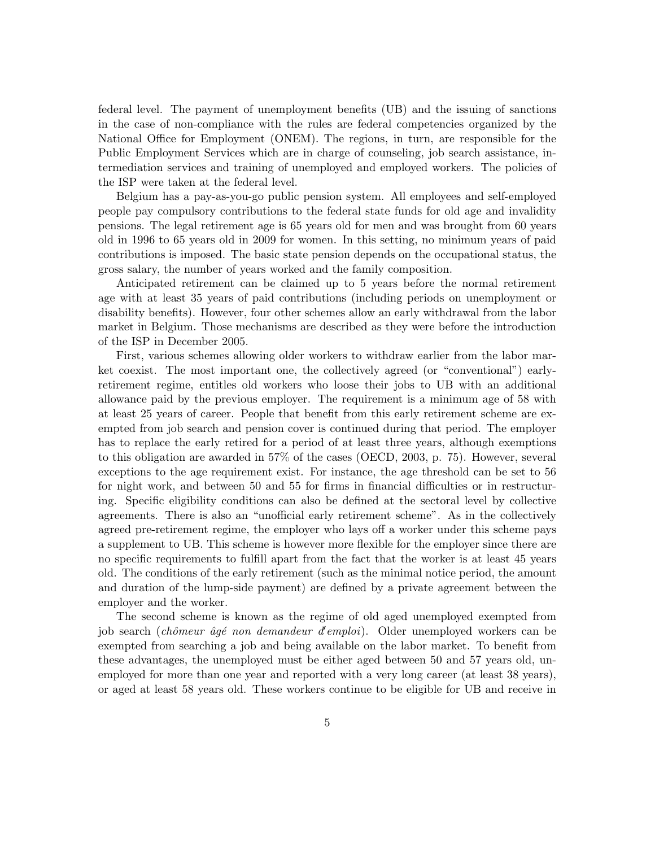federal level. The payment of unemployment benefits (UB) and the issuing of sanctions in the case of non-compliance with the rules are federal competencies organized by the National Office for Employment (ONEM). The regions, in turn, are responsible for the Public Employment Services which are in charge of counseling, job search assistance, intermediation services and training of unemployed and employed workers. The policies of the ISP were taken at the federal level.

Belgium has a pay-as-you-go public pension system. All employees and self-employed people pay compulsory contributions to the federal state funds for old age and invalidity pensions. The legal retirement age is 65 years old for men and was brought from 60 years old in 1996 to 65 years old in 2009 for women. In this setting, no minimum years of paid contributions is imposed. The basic state pension depends on the occupational status, the gross salary, the number of years worked and the family composition.

Anticipated retirement can be claimed up to 5 years before the normal retirement age with at least 35 years of paid contributions (including periods on unemployment or disability benefits). However, four other schemes allow an early withdrawal from the labor market in Belgium. Those mechanisms are described as they were before the introduction of the ISP in December 2005.

First, various schemes allowing older workers to withdraw earlier from the labor market coexist. The most important one, the collectively agreed (or "conventional") earlyretirement regime, entitles old workers who loose their jobs to UB with an additional allowance paid by the previous employer. The requirement is a minimum age of 58 with at least 25 years of career. People that benefit from this early retirement scheme are exempted from job search and pension cover is continued during that period. The employer has to replace the early retired for a period of at least three years, although exemptions to this obligation are awarded in 57% of the cases [\(OECD,](#page-24-8) 2003, p. 75). However, several exceptions to the age requirement exist. For instance, the age threshold can be set to 56 for night work, and between 50 and 55 for firms in financial difficulties or in restructuring. Specific eligibility conditions can also be defined at the sectoral level by collective agreements. There is also an "unofficial early retirement scheme". As in the collectively agreed pre-retirement regime, the employer who lays off a worker under this scheme pays a supplement to UB. This scheme is however more flexible for the employer since there are no specific requirements to fulfill apart from the fact that the worker is at least 45 years old. The conditions of the early retirement (such as the minimal notice period, the amount and duration of the lump-side payment) are defined by a private agreement between the employer and the worker.

The second scheme is known as the regime of old aged unemployed exempted from job search (chômeur âgé non demandeur d'emploi). Older unemployed workers can be exempted from searching a job and being available on the labor market. To benefit from these advantages, the unemployed must be either aged between 50 and 57 years old, unemployed for more than one year and reported with a very long career (at least 38 years), or aged at least 58 years old. These workers continue to be eligible for UB and receive in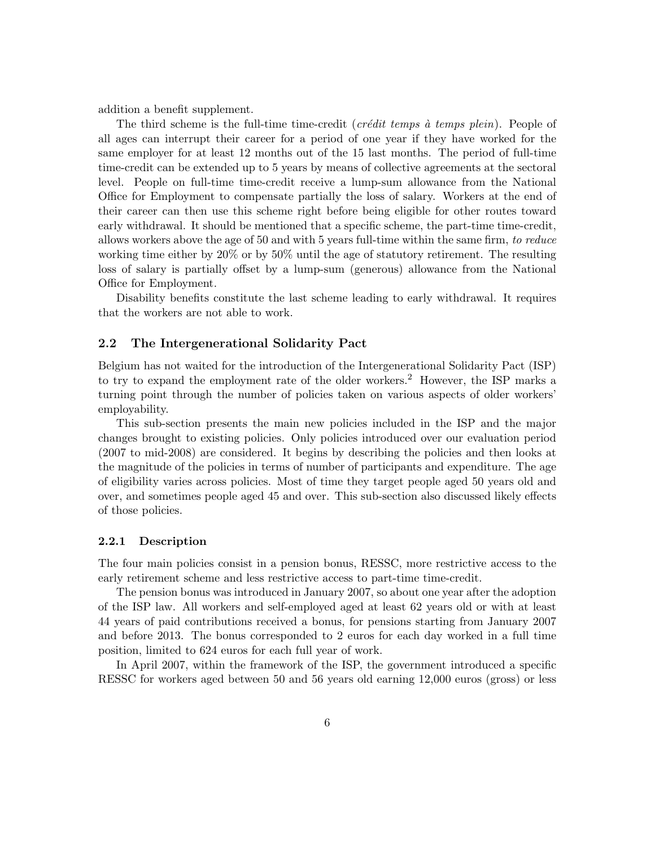addition a benefit supplement.

The third scheme is the full-time time-credit (*crédit temps à temps plein*). People of all ages can interrupt their career for a period of one year if they have worked for the same employer for at least 12 months out of the 15 last months. The period of full-time time-credit can be extended up to 5 years by means of collective agreements at the sectoral level. People on full-time time-credit receive a lump-sum allowance from the National Office for Employment to compensate partially the loss of salary. Workers at the end of their career can then use this scheme right before being eligible for other routes toward early withdrawal. It should be mentioned that a specific scheme, the part-time time-credit, allows workers above the age of 50 and with 5 years full-time within the same firm, to reduce working time either by 20% or by 50% until the age of statutory retirement. The resulting loss of salary is partially offset by a lump-sum (generous) allowance from the National Office for Employment.

Disability benefits constitute the last scheme leading to early withdrawal. It requires that the workers are not able to work.

#### 2.2 The Intergenerational Solidarity Pact

Belgium has not waited for the introduction of the Intergenerational Solidarity Pact (ISP) to try to expand the employment rate of the older workers.<sup>2</sup> However, the ISP marks a turning point through the number of policies taken on various aspects of older workers' employability.

This sub-section presents the main new policies included in the ISP and the major changes brought to existing policies. Only policies introduced over our evaluation period (2007 to mid-2008) are considered. It begins by describing the policies and then looks at the magnitude of the policies in terms of number of participants and expenditure. The age of eligibility varies across policies. Most of time they target people aged 50 years old and over, and sometimes people aged 45 and over. This sub-section also discussed likely effects of those policies.

#### 2.2.1 Description

The four main policies consist in a pension bonus, RESSC, more restrictive access to the early retirement scheme and less restrictive access to part-time time-credit.

The pension bonus was introduced in January 2007, so about one year after the adoption of the ISP law. All workers and self-employed aged at least 62 years old or with at least 44 years of paid contributions received a bonus, for pensions starting from January 2007 and before 2013. The bonus corresponded to 2 euros for each day worked in a full time position, limited to 624 euros for each full year of work.

In April 2007, within the framework of the ISP, the government introduced a specific RESSC for workers aged between 50 and 56 years old earning 12,000 euros (gross) or less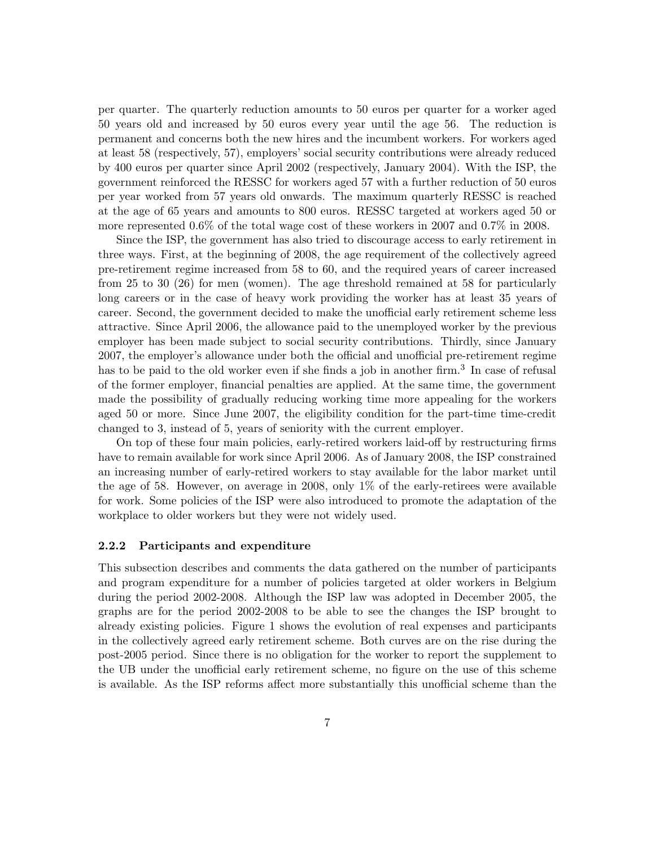per quarter. The quarterly reduction amounts to 50 euros per quarter for a worker aged 50 years old and increased by 50 euros every year until the age 56. The reduction is permanent and concerns both the new hires and the incumbent workers. For workers aged at least 58 (respectively, 57), employers' social security contributions were already reduced by 400 euros per quarter since April 2002 (respectively, January 2004). With the ISP, the government reinforced the RESSC for workers aged 57 with a further reduction of 50 euros per year worked from 57 years old onwards. The maximum quarterly RESSC is reached at the age of 65 years and amounts to 800 euros. RESSC targeted at workers aged 50 or more represented 0.6% of the total wage cost of these workers in 2007 and 0.7% in 2008.

Since the ISP, the government has also tried to discourage access to early retirement in three ways. First, at the beginning of 2008, the age requirement of the collectively agreed pre-retirement regime increased from 58 to 60, and the required years of career increased from 25 to 30 (26) for men (women). The age threshold remained at 58 for particularly long careers or in the case of heavy work providing the worker has at least 35 years of career. Second, the government decided to make the unofficial early retirement scheme less attractive. Since April 2006, the allowance paid to the unemployed worker by the previous employer has been made subject to social security contributions. Thirdly, since January 2007, the employer's allowance under both the official and unofficial pre-retirement regime has to be paid to the old worker even if she finds a job in another firm.<sup>3</sup> In case of refusal of the former employer, financial penalties are applied. At the same time, the government made the possibility of gradually reducing working time more appealing for the workers aged 50 or more. Since June 2007, the eligibility condition for the part-time time-credit changed to 3, instead of 5, years of seniority with the current employer.

On top of these four main policies, early-retired workers laid-off by restructuring firms have to remain available for work since April 2006. As of January 2008, the ISP constrained an increasing number of early-retired workers to stay available for the labor market until the age of 58. However, on average in 2008, only 1% of the early-retirees were available for work. Some policies of the ISP were also introduced to promote the adaptation of the workplace to older workers but they were not widely used.

#### 2.2.2 Participants and expenditure

This subsection describes and comments the data gathered on the number of participants and program expenditure for a number of policies targeted at older workers in Belgium during the period 2002-2008. Although the ISP law was adopted in December 2005, the graphs are for the period 2002-2008 to be able to see the changes the ISP brought to already existing policies. Figure [1](#page-26-0) shows the evolution of real expenses and participants in the collectively agreed early retirement scheme. Both curves are on the rise during the post-2005 period. Since there is no obligation for the worker to report the supplement to the UB under the unofficial early retirement scheme, no figure on the use of this scheme is available. As the ISP reforms affect more substantially this unofficial scheme than the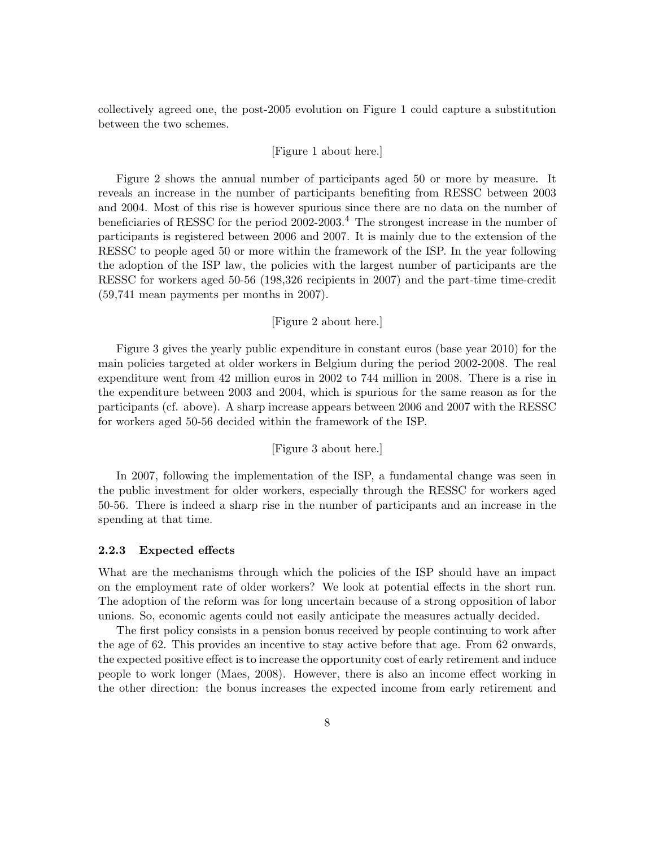collectively agreed one, the post-2005 evolution on Figure [1](#page-26-0) could capture a substitution between the two schemes.

#### [Figure [1](#page-26-0) about here.]

Figure [2](#page-27-0) shows the annual number of participants aged 50 or more by measure. It reveals an increase in the number of participants benefiting from RESSC between 2003 and 2004. Most of this rise is however spurious since there are no data on the number of beneficiaries of RESSC for the period  $2002-2003$ .<sup>4</sup> The strongest increase in the number of participants is registered between 2006 and 2007. It is mainly due to the extension of the RESSC to people aged 50 or more within the framework of the ISP. In the year following the adoption of the ISP law, the policies with the largest number of participants are the RESSC for workers aged 50-56 (198,326 recipients in 2007) and the part-time time-credit (59,741 mean payments per months in 2007).

#### [Figure [2](#page-27-0) about here.]

Figure [3](#page-28-0) gives the yearly public expenditure in constant euros (base year 2010) for the main policies targeted at older workers in Belgium during the period 2002-2008. The real expenditure went from 42 million euros in 2002 to 744 million in 2008. There is a rise in the expenditure between 2003 and 2004, which is spurious for the same reason as for the participants (cf. above). A sharp increase appears between 2006 and 2007 with the RESSC for workers aged 50-56 decided within the framework of the ISP.

#### [Figure [3](#page-28-0) about here.]

In 2007, following the implementation of the ISP, a fundamental change was seen in the public investment for older workers, especially through the RESSC for workers aged 50-56. There is indeed a sharp rise in the number of participants and an increase in the spending at that time.

#### <span id="page-9-0"></span>2.2.3 Expected effects

What are the mechanisms through which the policies of the ISP should have an impact on the employment rate of older workers? We look at potential effects in the short run. The adoption of the reform was for long uncertain because of a strong opposition of labor unions. So, economic agents could not easily anticipate the measures actually decided.

The first policy consists in a pension bonus received by people continuing to work after the age of 62. This provides an incentive to stay active before that age. From 62 onwards, the expected positive effect is to increase the opportunity cost of early retirement and induce people to work longer [\(Maes,](#page-24-9) [2008\)](#page-24-9). However, there is also an income effect working in the other direction: the bonus increases the expected income from early retirement and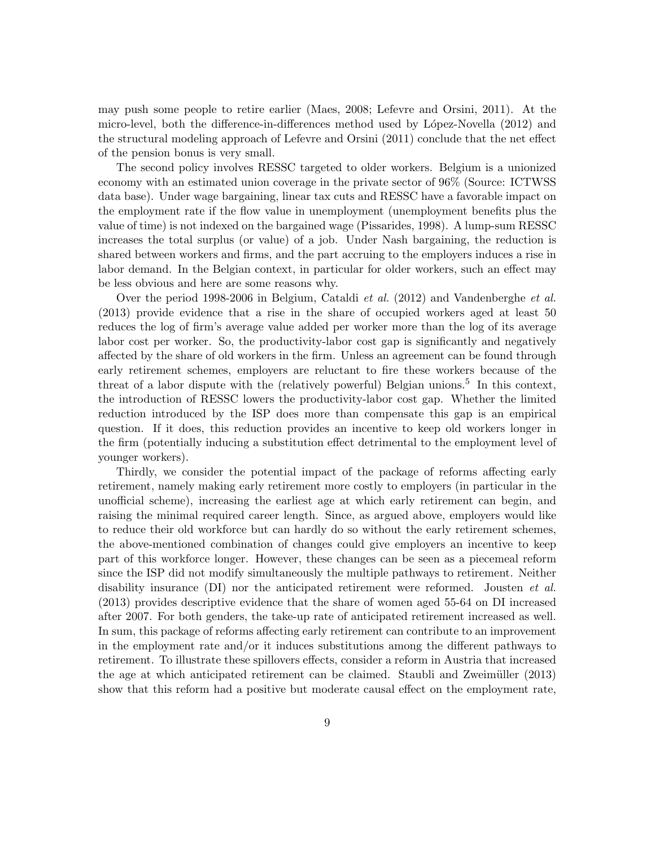may push some people to retire earlier [\(Maes,](#page-24-9) [2008;](#page-24-9) [Lefevre and Orsini,](#page-24-6) [2011\)](#page-24-6). At the micro-level, both the difference-in-differences method used by López-Novella [\(2012\)](#page-24-7) and the structural modeling approach of [Lefevre and Orsini](#page-24-6) [\(2011\)](#page-24-6) conclude that the net effect of the pension bonus is very small.

The second policy involves RESSC targeted to older workers. Belgium is a unionized economy with an estimated union coverage in the private sector of 96% (Source: ICTWSS data base). Under wage bargaining, linear tax cuts and RESSC have a favorable impact on the employment rate if the flow value in unemployment (unemployment benefits plus the value of time) is not indexed on the bargained wage [\(Pissarides,](#page-25-0) 1998). A lump-sum RESSC increases the total surplus (or value) of a job. Under Nash bargaining, the reduction is shared between workers and firms, and the part accruing to the employers induces a rise in labor demand. In the Belgian context, in particular for older workers, such an effect may be less obvious and here are some reasons why.

Over the period 1998-2006 in Belgium, [Cataldi](#page-22-6) et al. [\(2012\)](#page-22-6) and [Vandenberghe](#page-25-1) et al. [\(2013\)](#page-25-1) provide evidence that a rise in the share of occupied workers aged at least 50 reduces the log of firm's average value added per worker more than the log of its average labor cost per worker. So, the productivity-labor cost gap is significantly and negatively affected by the share of old workers in the firm. Unless an agreement can be found through early retirement schemes, employers are reluctant to fire these workers because of the threat of a labor dispute with the (relatively powerful) Belgian unions.<sup>5</sup> In this context, the introduction of RESSC lowers the productivity-labor cost gap. Whether the limited reduction introduced by the ISP does more than compensate this gap is an empirical question. If it does, this reduction provides an incentive to keep old workers longer in the firm (potentially inducing a substitution effect detrimental to the employment level of younger workers).

Thirdly, we consider the potential impact of the package of reforms affecting early retirement, namely making early retirement more costly to employers (in particular in the unofficial scheme), increasing the earliest age at which early retirement can begin, and raising the minimal required career length. Since, as argued above, employers would like to reduce their old workforce but can hardly do so without the early retirement schemes, the above-mentioned combination of changes could give employers an incentive to keep part of this workforce longer. However, these changes can be seen as a piecemeal reform since the ISP did not modify simultaneously the multiple pathways to retirement. Neither disability insurance (DI) nor the anticipated retirement were reformed. [Jousten](#page-23-4) *et al.* [\(2013\)](#page-23-4) provides descriptive evidence that the share of women aged 55-64 on DI increased after 2007. For both genders, the take-up rate of anticipated retirement increased as well. In sum, this package of reforms affecting early retirement can contribute to an improvement in the employment rate and/or it induces substitutions among the different pathways to retirement. To illustrate these spillovers effects, consider a reform in Austria that increased the age at which anticipated retirement can be claimed. [Staubli and Zweim¨uller](#page-25-2) [\(2013\)](#page-25-2) show that this reform had a positive but moderate causal effect on the employment rate,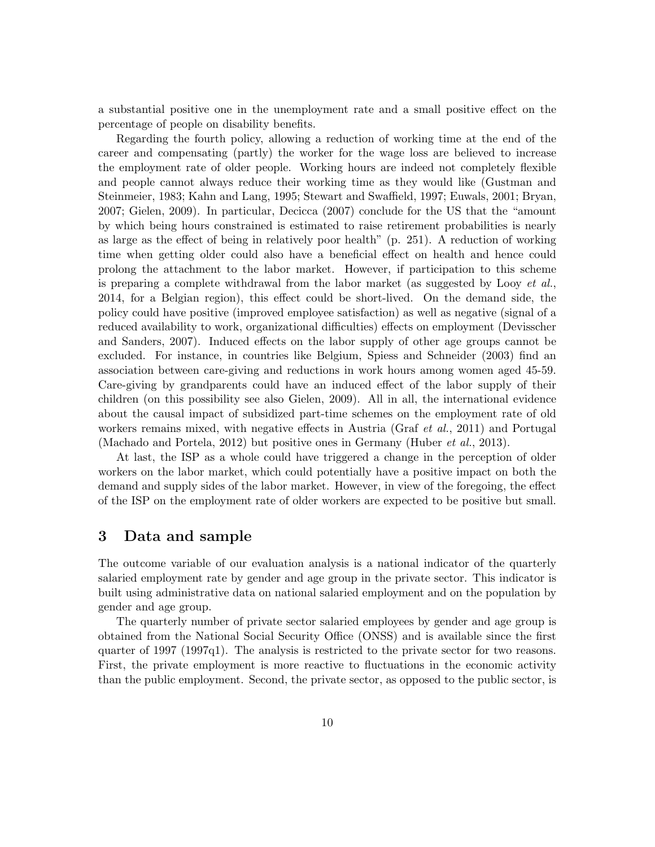a substantial positive one in the unemployment rate and a small positive effect on the percentage of people on disability benefits.

Regarding the fourth policy, allowing a reduction of working time at the end of the career and compensating (partly) the worker for the wage loss are believed to increase the employment rate of older people. Working hours are indeed not completely flexible and people cannot always reduce their working time as they would like [\(Gustman and](#page-23-5) [Steinmeier,](#page-23-5) [1983;](#page-23-5) [Kahn and Lang,](#page-23-6) [1995;](#page-23-6) [Stewart and Swaffield,](#page-25-3) [1997;](#page-25-3) [Euwals,](#page-23-7) [2001;](#page-23-7) [Bryan,](#page-22-7) [2007;](#page-22-7) [Gielen,](#page-23-8) [2009\)](#page-23-8). In particular, [Decicca](#page-22-8) [\(2007\)](#page-22-8) conclude for the US that the "amount by which being hours constrained is estimated to raise retirement probabilities is nearly as large as the effect of being in relatively poor health" (p. 251). A reduction of working time when getting older could also have a beneficial effect on health and hence could prolong the attachment to the labor market. However, if participation to this scheme is preparing a complete withdrawal from the labor market (as suggested by Looy *[et al.](#page-24-10)*, 2014, for a Belgian region), this effect could be short-lived. On the demand side, the policy could have positive (improved employee satisfaction) as well as negative (signal of a reduced availability to work, organizational difficulties) effects on employment [\(Devisscher](#page-22-9) [and Sanders,](#page-22-9) [2007\)](#page-22-9). Induced effects on the labor supply of other age groups cannot be excluded. For instance, in countries like Belgium, [Spiess and Schneider](#page-25-4) [\(2003\)](#page-25-4) find an association between care-giving and reductions in work hours among women aged 45-59. Care-giving by grandparents could have an induced effect of the labor supply of their children (on this possibility see also [Gielen,](#page-23-8) 2009). All in all, the international evidence about the causal impact of subsidized part-time schemes on the employment rate of old workers remains mixed, with negative effects in Austria (Graf *[et al.](#page-23-9)*, [2011\)](#page-23-9) and Portugal [\(Machado and Portela,](#page-24-11) [2012\)](#page-24-11) but positive ones in Germany [\(Huber](#page-23-10) et al., [2013\)](#page-23-10).

At last, the ISP as a whole could have triggered a change in the perception of older workers on the labor market, which could potentially have a positive impact on both the demand and supply sides of the labor market. However, in view of the foregoing, the effect of the ISP on the employment rate of older workers are expected to be positive but small.

## 3 Data and sample

The outcome variable of our evaluation analysis is a national indicator of the quarterly salaried employment rate by gender and age group in the private sector. This indicator is built using administrative data on national salaried employment and on the population by gender and age group.

The quarterly number of private sector salaried employees by gender and age group is obtained from the National Social Security Office (ONSS) and is available since the first quarter of 1997 (1997q1). The analysis is restricted to the private sector for two reasons. First, the private employment is more reactive to fluctuations in the economic activity than the public employment. Second, the private sector, as opposed to the public sector, is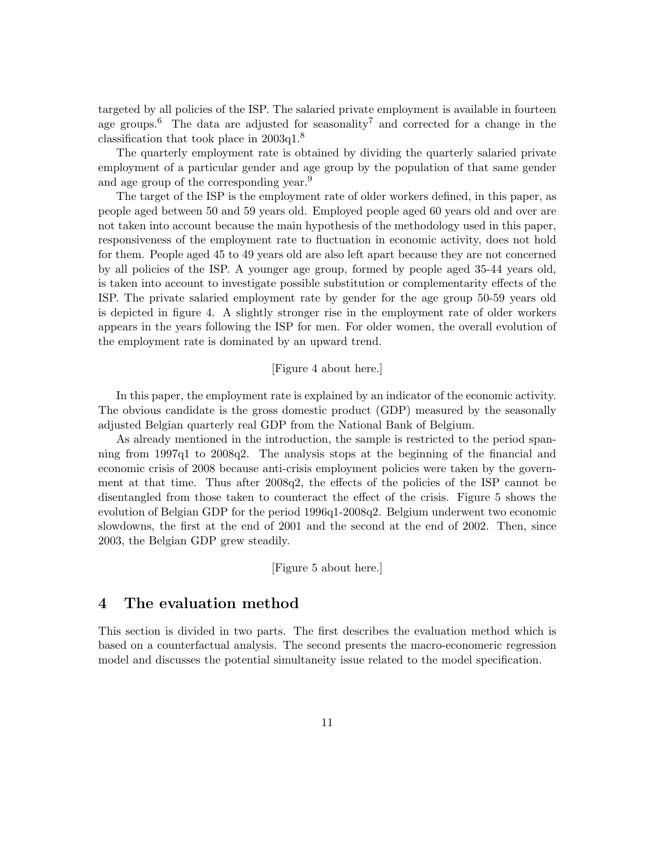targeted by all policies of the ISP. The salaried private employment is available in fourteen age groups.<sup>6</sup> The data are adjusted for seasonality<sup>7</sup> and corrected for a change in the classification that took place in 2003q1.<sup>8</sup>

The quarterly employment rate is obtained by dividing the quarterly salaried private employment of a particular gender and age group by the population of that same gender and age group of the corresponding year.<sup>9</sup>

The target of the ISP is the employment rate of older workers defined, in this paper, as people aged between 50 and 59 years old. Employed people aged 60 years old and over are not taken into account because the main hypothesis of the methodology used in this paper, responsiveness of the employment rate to fluctuation in economic activity, does not hold for them. People aged 45 to 49 years old are also left apart because they are not concerned by all policies of the ISP. A younger age group, formed by people aged 35-44 years old, is taken into account to investigate possible substitution or complementarity effects of the ISP. The private salaried employment rate by gender for the age group 50-59 years old is depicted in figure [4.](#page-29-0) A slightly stronger rise in the employment rate of older workers appears in the years following the ISP for men. For older women, the overall evolution of the employment rate is dominated by an upward trend.

#### [Figure [4](#page-29-0) about here.]

In this paper, the employment rate is explained by an indicator of the economic activity. The obvious candidate is the gross domestic product (GDP) measured by the seasonally adjusted Belgian quarterly real GDP from the National Bank of Belgium.

As already mentioned in the introduction, the sample is restricted to the period spanning from 1997q1 to 2008q2. The analysis stops at the beginning of the financial and economic crisis of 2008 because anti-crisis employment policies were taken by the government at that time. Thus after 2008q2, the effects of the policies of the ISP cannot be disentangled from those taken to counteract the effect of the crisis. Figure [5](#page-29-1) shows the evolution of Belgian GDP for the period 1996q1-2008q2. Belgium underwent two economic slowdowns, the first at the end of 2001 and the second at the end of 2002. Then, since 2003, the Belgian GDP grew steadily.

[Figure [5](#page-29-1) about here.]

### 4 The evaluation method

This section is divided in two parts. The first describes the evaluation method which is based on a counterfactual analysis. The second presents the macro-economeric regression model and discusses the potential simultaneity issue related to the model specification.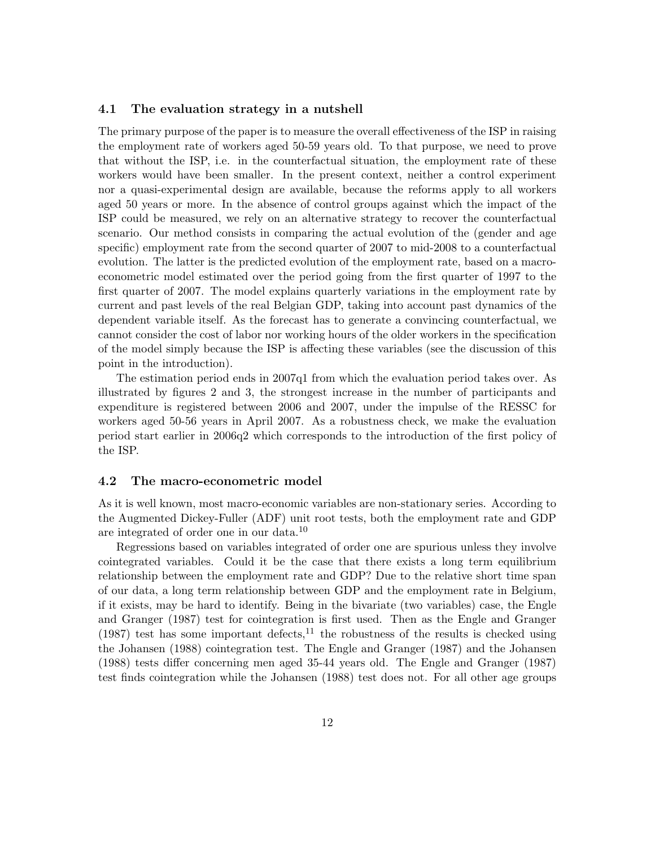#### 4.1 The evaluation strategy in a nutshell

The primary purpose of the paper is to measure the overall effectiveness of the ISP in raising the employment rate of workers aged 50-59 years old. To that purpose, we need to prove that without the ISP, i.e. in the counterfactual situation, the employment rate of these workers would have been smaller. In the present context, neither a control experiment nor a quasi-experimental design are available, because the reforms apply to all workers aged 50 years or more. In the absence of control groups against which the impact of the ISP could be measured, we rely on an alternative strategy to recover the counterfactual scenario. Our method consists in comparing the actual evolution of the (gender and age specific) employment rate from the second quarter of 2007 to mid-2008 to a counterfactual evolution. The latter is the predicted evolution of the employment rate, based on a macroeconometric model estimated over the period going from the first quarter of 1997 to the first quarter of 2007. The model explains quarterly variations in the employment rate by current and past levels of the real Belgian GDP, taking into account past dynamics of the dependent variable itself. As the forecast has to generate a convincing counterfactual, we cannot consider the cost of labor nor working hours of the older workers in the specification of the model simply because the ISP is affecting these variables (see the discussion of this point in the introduction).

The estimation period ends in 2007q1 from which the evaluation period takes over. As illustrated by figures [2](#page-27-0) and [3,](#page-28-0) the strongest increase in the number of participants and expenditure is registered between 2006 and 2007, under the impulse of the RESSC for workers aged 50-56 years in April 2007. As a robustness check, we make the evaluation period start earlier in 2006q2 which corresponds to the introduction of the first policy of the ISP.

#### 4.2 The macro-econometric model

As it is well known, most macro-economic variables are non-stationary series. According to the Augmented Dickey-Fuller (ADF) unit root tests, both the employment rate and GDP are integrated of order one in our data.<sup>10</sup>

Regressions based on variables integrated of order one are spurious unless they involve cointegrated variables. Could it be the case that there exists a long term equilibrium relationship between the employment rate and GDP? Due to the relative short time span of our data, a long term relationship between GDP and the employment rate in Belgium, if it exists, may be hard to identify. Being in the bivariate (two variables) case, the [Engle](#page-23-11) [and Granger](#page-23-11) [\(1987\)](#page-23-11) test for cointegration is first used. Then as the [Engle and Granger](#page-23-11) [\(1987\)](#page-23-11) test has some important defects,<sup>11</sup> the robustness of the results is checked using the [Johansen](#page-23-12) [\(1988\)](#page-23-12) cointegration test. The [Engle and Granger](#page-23-11) [\(1987\)](#page-23-11) and the [Johansen](#page-23-12) [\(1988\)](#page-23-12) tests differ concerning men aged 35-44 years old. The [Engle and Granger](#page-23-11) [\(1987\)](#page-23-11) test finds cointegration while the [Johansen](#page-23-12) [\(1988\)](#page-23-12) test does not. For all other age groups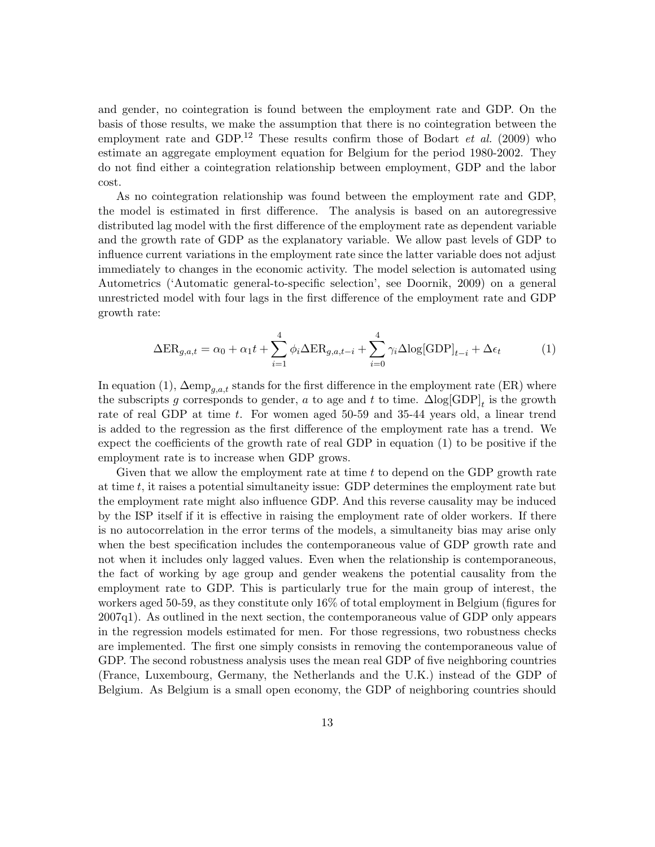and gender, no cointegration is found between the employment rate and GDP. On the basis of those results, we make the assumption that there is no cointegration between the employment rate and GDP.<sup>12</sup> These results confirm those of [Bodart](#page-22-0) *et al.* [\(2009\)](#page-22-0) who estimate an aggregate employment equation for Belgium for the period 1980-2002. They do not find either a cointegration relationship between employment, GDP and the labor cost.

As no cointegration relationship was found between the employment rate and GDP, the model is estimated in first difference. The analysis is based on an autoregressive distributed lag model with the first difference of the employment rate as dependent variable and the growth rate of GDP as the explanatory variable. We allow past levels of GDP to influence current variations in the employment rate since the latter variable does not adjust immediately to changes in the economic activity. The model selection is automated using Autometrics ('Automatic general-to-specific selection', see [Doornik,](#page-22-10) 2009) on a general unrestricted model with four lags in the first difference of the employment rate and GDP growth rate:

<span id="page-14-0"></span>
$$
\Delta ER_{g,a,t} = \alpha_0 + \alpha_1 t + \sum_{i=1}^4 \phi_i \Delta ER_{g,a,t-i} + \sum_{i=0}^4 \gamma_i \Delta \log[\text{GDP}]_{t-i} + \Delta \epsilon_t
$$
 (1)

In equation [\(1\)](#page-14-0),  $\Delta \text{emp}_{a,a,t}$  stands for the first difference in the employment rate (ER) where the subscripts g corresponds to gender, a to age and t to time.  $\Delta \text{log}[\text{GDP}]_t$  is the growth rate of real GDP at time t. For women aged 50-59 and 35-44 years old, a linear trend is added to the regression as the first difference of the employment rate has a trend. We expect the coefficients of the growth rate of real GDP in equation [\(1\)](#page-14-0) to be positive if the employment rate is to increase when GDP grows.

Given that we allow the employment rate at time t to depend on the GDP growth rate at time t, it raises a potential simultaneity issue: GDP determines the employment rate but the employment rate might also influence GDP. And this reverse causality may be induced by the ISP itself if it is effective in raising the employment rate of older workers. If there is no autocorrelation in the error terms of the models, a simultaneity bias may arise only when the best specification includes the contemporaneous value of GDP growth rate and not when it includes only lagged values. Even when the relationship is contemporaneous, the fact of working by age group and gender weakens the potential causality from the employment rate to GDP. This is particularly true for the main group of interest, the workers aged 50-59, as they constitute only 16% of total employment in Belgium (figures for 2007q1). As outlined in the next section, the contemporaneous value of GDP only appears in the regression models estimated for men. For those regressions, two robustness checks are implemented. The first one simply consists in removing the contemporaneous value of GDP. The second robustness analysis uses the mean real GDP of five neighboring countries (France, Luxembourg, Germany, the Netherlands and the U.K.) instead of the GDP of Belgium. As Belgium is a small open economy, the GDP of neighboring countries should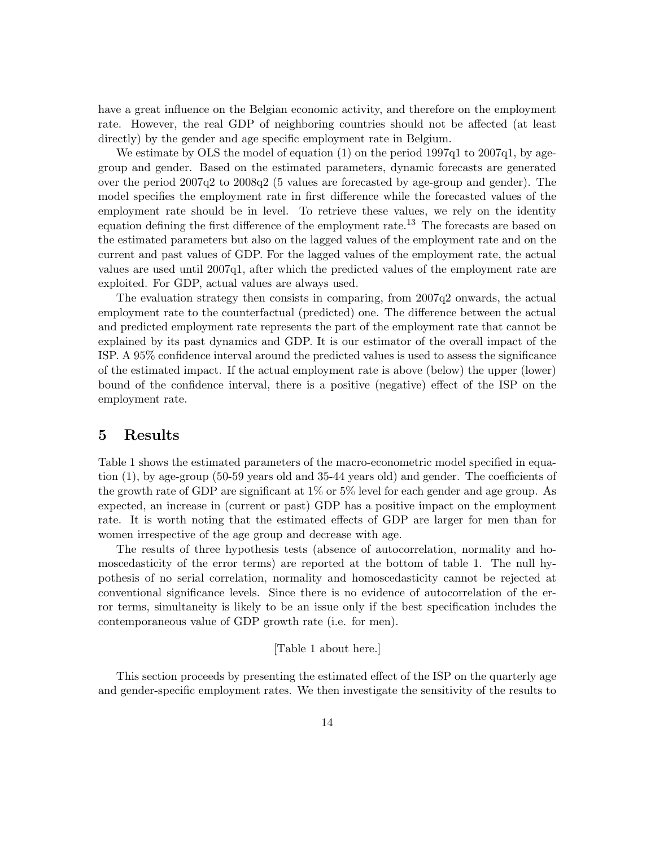have a great influence on the Belgian economic activity, and therefore on the employment rate. However, the real GDP of neighboring countries should not be affected (at least directly) by the gender and age specific employment rate in Belgium.

We estimate by OLS the model of equation [\(1\)](#page-14-0) on the period 1997q1 to 2007q1, by agegroup and gender. Based on the estimated parameters, dynamic forecasts are generated over the period 2007q2 to 2008q2 (5 values are forecasted by age-group and gender). The model specifies the employment rate in first difference while the forecasted values of the employment rate should be in level. To retrieve these values, we rely on the identity equation defining the first difference of the employment rate.<sup>13</sup> The forecasts are based on the estimated parameters but also on the lagged values of the employment rate and on the current and past values of GDP. For the lagged values of the employment rate, the actual values are used until 2007q1, after which the predicted values of the employment rate are exploited. For GDP, actual values are always used.

The evaluation strategy then consists in comparing, from 2007q2 onwards, the actual employment rate to the counterfactual (predicted) one. The difference between the actual and predicted employment rate represents the part of the employment rate that cannot be explained by its past dynamics and GDP. It is our estimator of the overall impact of the ISP. A 95% confidence interval around the predicted values is used to assess the significance of the estimated impact. If the actual employment rate is above (below) the upper (lower) bound of the confidence interval, there is a positive (negative) effect of the ISP on the employment rate.

### 5 Results

Table [1](#page-33-0) shows the estimated parameters of the macro-econometric model specified in equation [\(1\)](#page-14-0), by age-group (50-59 years old and 35-44 years old) and gender. The coefficients of the growth rate of GDP are significant at 1% or 5% level for each gender and age group. As expected, an increase in (current or past) GDP has a positive impact on the employment rate. It is worth noting that the estimated effects of GDP are larger for men than for women irrespective of the age group and decrease with age.

The results of three hypothesis tests (absence of autocorrelation, normality and homoscedasticity of the error terms) are reported at the bottom of table [1.](#page-33-0) The null hypothesis of no serial correlation, normality and homoscedasticity cannot be rejected at conventional significance levels. Since there is no evidence of autocorrelation of the error terms, simultaneity is likely to be an issue only if the best specification includes the contemporaneous value of GDP growth rate (i.e. for men).

#### [Table [1](#page-33-0) about here.]

This section proceeds by presenting the estimated effect of the ISP on the quarterly age and gender-specific employment rates. We then investigate the sensitivity of the results to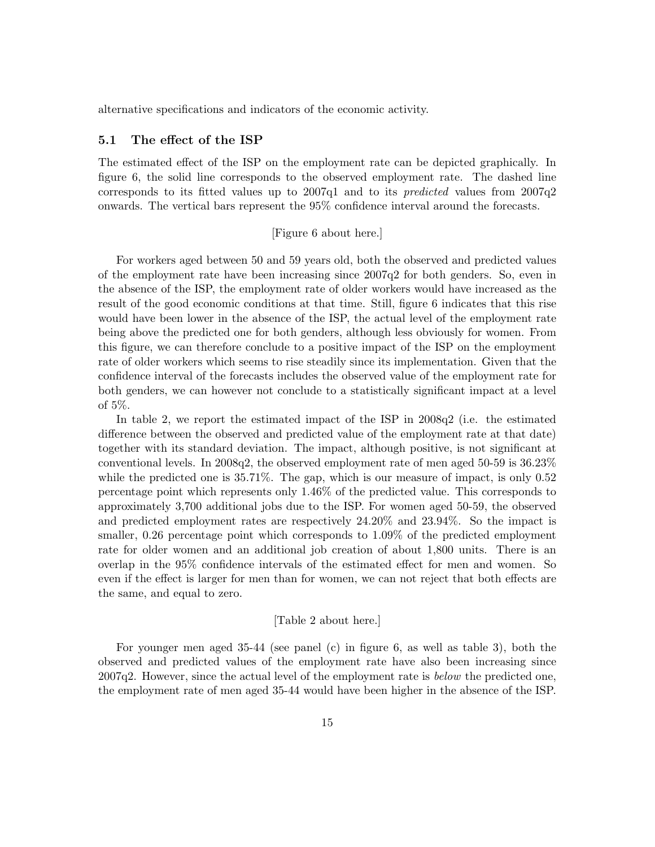alternative specifications and indicators of the economic activity.

#### 5.1 The effect of the ISP

The estimated effect of the ISP on the employment rate can be depicted graphically. In figure [6,](#page-30-0) the solid line corresponds to the observed employment rate. The dashed line corresponds to its fitted values up to 2007q1 and to its predicted values from 2007q2 onwards. The vertical bars represent the 95% confidence interval around the forecasts.

#### [Figure [6](#page-30-0) about here.]

For workers aged between 50 and 59 years old, both the observed and predicted values of the employment rate have been increasing since 2007q2 for both genders. So, even in the absence of the ISP, the employment rate of older workers would have increased as the result of the good economic conditions at that time. Still, figure [6](#page-30-0) indicates that this rise would have been lower in the absence of the ISP, the actual level of the employment rate being above the predicted one for both genders, although less obviously for women. From this figure, we can therefore conclude to a positive impact of the ISP on the employment rate of older workers which seems to rise steadily since its implementation. Given that the confidence interval of the forecasts includes the observed value of the employment rate for both genders, we can however not conclude to a statistically significant impact at a level of 5%.

In table [2,](#page-33-1) we report the estimated impact of the ISP in 2008q2 (i.e. the estimated difference between the observed and predicted value of the employment rate at that date) together with its standard deviation. The impact, although positive, is not significant at conventional levels. In 2008q2, the observed employment rate of men aged 50-59 is 36.23% while the predicted one is  $35.71\%$ . The gap, which is our measure of impact, is only 0.52 percentage point which represents only 1.46% of the predicted value. This corresponds to approximately 3,700 additional jobs due to the ISP. For women aged 50-59, the observed and predicted employment rates are respectively 24.20% and 23.94%. So the impact is smaller, 0.26 percentage point which corresponds to 1.09% of the predicted employment rate for older women and an additional job creation of about 1,800 units. There is an overlap in the 95% confidence intervals of the estimated effect for men and women. So even if the effect is larger for men than for women, we can not reject that both effects are the same, and equal to zero.

#### [Table [2](#page-33-1) about here.]

For younger men aged 35-44 (see panel (c) in figure [6,](#page-30-0) as well as table [3\)](#page-34-0), both the observed and predicted values of the employment rate have also been increasing since 2007q2. However, since the actual level of the employment rate is below the predicted one, the employment rate of men aged 35-44 would have been higher in the absence of the ISP.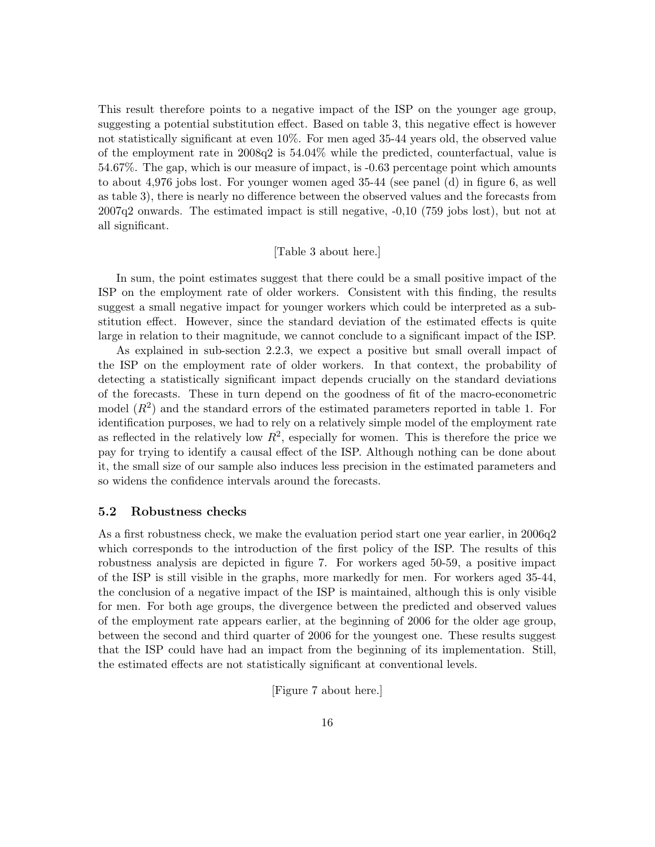This result therefore points to a negative impact of the ISP on the younger age group, suggesting a potential substitution effect. Based on table [3,](#page-34-0) this negative effect is however not statistically significant at even 10%. For men aged 35-44 years old, the observed value of the employment rate in 2008q2 is 54.04% while the predicted, counterfactual, value is 54.67%. The gap, which is our measure of impact, is -0.63 percentage point which amounts to about 4,976 jobs lost. For younger women aged 35-44 (see panel (d) in figure [6,](#page-30-0) as well as table [3\)](#page-34-0), there is nearly no difference between the observed values and the forecasts from 2007q2 onwards. The estimated impact is still negative, -0,10 (759 jobs lost), but not at all significant.

#### [Table [3](#page-34-0) about here.]

In sum, the point estimates suggest that there could be a small positive impact of the ISP on the employment rate of older workers. Consistent with this finding, the results suggest a small negative impact for younger workers which could be interpreted as a substitution effect. However, since the standard deviation of the estimated effects is quite large in relation to their magnitude, we cannot conclude to a significant impact of the ISP.

As explained in sub-section [2.2.3,](#page-9-0) we expect a positive but small overall impact of the ISP on the employment rate of older workers. In that context, the probability of detecting a statistically significant impact depends crucially on the standard deviations of the forecasts. These in turn depend on the goodness of fit of the macro-econometric model  $(R<sup>2</sup>)$  and the standard errors of the estimated parameters reported in table [1.](#page-33-0) For identification purposes, we had to rely on a relatively simple model of the employment rate as reflected in the relatively low  $R^2$ , especially for women. This is therefore the price we pay for trying to identify a causal effect of the ISP. Although nothing can be done about it, the small size of our sample also induces less precision in the estimated parameters and so widens the confidence intervals around the forecasts.

#### 5.2 Robustness checks

As a first robustness check, we make the evaluation period start one year earlier, in 2006q2 which corresponds to the introduction of the first policy of the ISP. The results of this robustness analysis are depicted in figure [7.](#page-31-0) For workers aged 50-59, a positive impact of the ISP is still visible in the graphs, more markedly for men. For workers aged 35-44, the conclusion of a negative impact of the ISP is maintained, although this is only visible for men. For both age groups, the divergence between the predicted and observed values of the employment rate appears earlier, at the beginning of 2006 for the older age group, between the second and third quarter of 2006 for the youngest one. These results suggest that the ISP could have had an impact from the beginning of its implementation. Still, the estimated effects are not statistically significant at conventional levels.

[Figure [7](#page-31-0) about here.]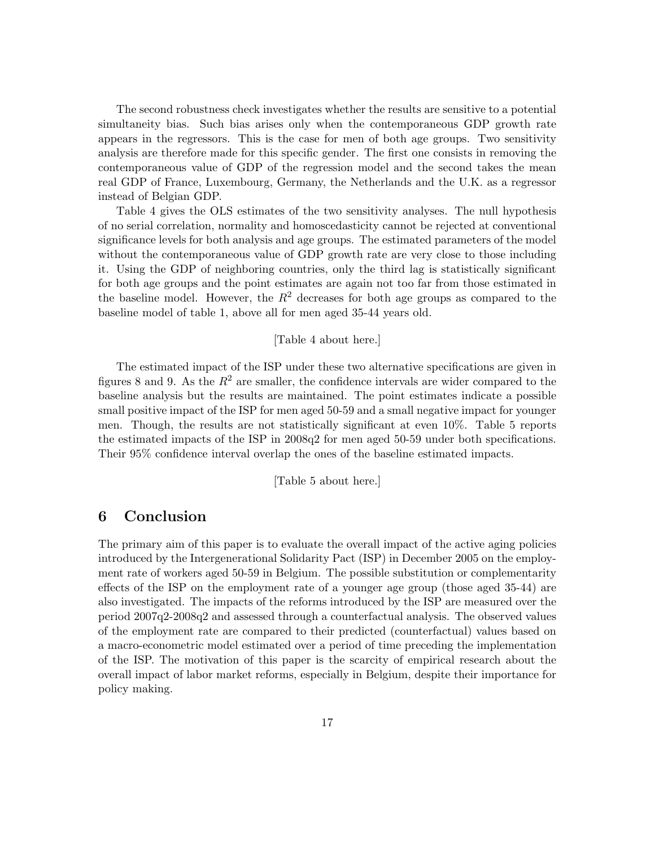The second robustness check investigates whether the results are sensitive to a potential simultaneity bias. Such bias arises only when the contemporaneous GDP growth rate appears in the regressors. This is the case for men of both age groups. Two sensitivity analysis are therefore made for this specific gender. The first one consists in removing the contemporaneous value of GDP of the regression model and the second takes the mean real GDP of France, Luxembourg, Germany, the Netherlands and the U.K. as a regressor instead of Belgian GDP.

Table [4](#page-34-1) gives the OLS estimates of the two sensitivity analyses. The null hypothesis of no serial correlation, normality and homoscedasticity cannot be rejected at conventional significance levels for both analysis and age groups. The estimated parameters of the model without the contemporaneous value of GDP growth rate are very close to those including it. Using the GDP of neighboring countries, only the third lag is statistically significant for both age groups and the point estimates are again not too far from those estimated in the baseline model. However, the  $R^2$  decreases for both age groups as compared to the baseline model of table [1,](#page-33-0) above all for men aged 35-44 years old.

#### [Table [4](#page-34-1) about here.]

The estimated impact of the ISP under these two alternative specifications are given in figures [8](#page-32-0) and [9.](#page-32-1) As the  $R^2$  are smaller, the confidence intervals are wider compared to the baseline analysis but the results are maintained. The point estimates indicate a possible small positive impact of the ISP for men aged 50-59 and a small negative impact for younger men. Though, the results are not statistically significant at even 10%. Table [5](#page-35-0) reports the estimated impacts of the ISP in 2008q2 for men aged 50-59 under both specifications. Their 95% confidence interval overlap the ones of the baseline estimated impacts.

[Table [5](#page-35-0) about here.]

## 6 Conclusion

The primary aim of this paper is to evaluate the overall impact of the active aging policies introduced by the Intergenerational Solidarity Pact (ISP) in December 2005 on the employment rate of workers aged 50-59 in Belgium. The possible substitution or complementarity effects of the ISP on the employment rate of a younger age group (those aged 35-44) are also investigated. The impacts of the reforms introduced by the ISP are measured over the period 2007q2-2008q2 and assessed through a counterfactual analysis. The observed values of the employment rate are compared to their predicted (counterfactual) values based on a macro-econometric model estimated over a period of time preceding the implementation of the ISP. The motivation of this paper is the scarcity of empirical research about the overall impact of labor market reforms, especially in Belgium, despite their importance for policy making.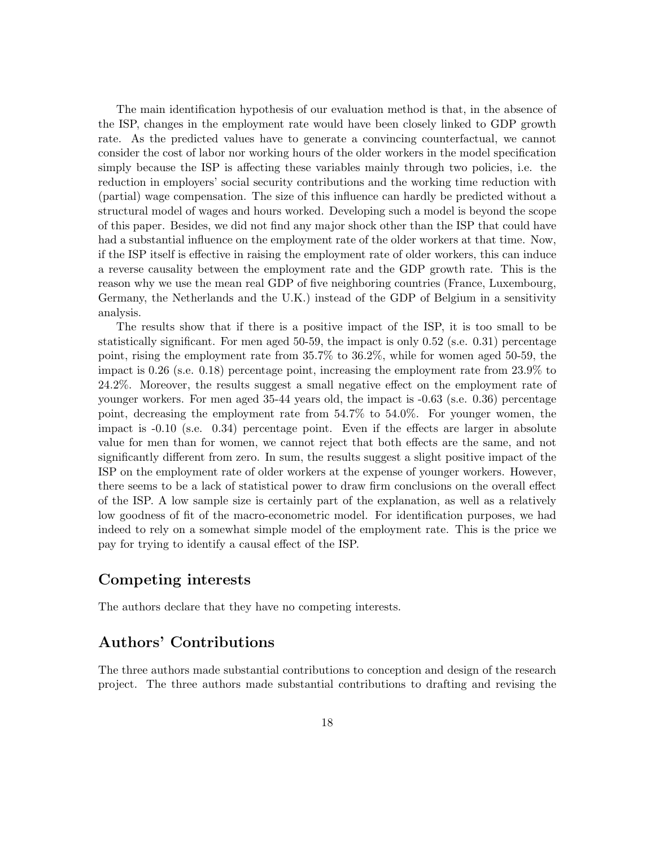The main identification hypothesis of our evaluation method is that, in the absence of the ISP, changes in the employment rate would have been closely linked to GDP growth rate. As the predicted values have to generate a convincing counterfactual, we cannot consider the cost of labor nor working hours of the older workers in the model specification simply because the ISP is affecting these variables mainly through two policies, i.e. the reduction in employers' social security contributions and the working time reduction with (partial) wage compensation. The size of this influence can hardly be predicted without a structural model of wages and hours worked. Developing such a model is beyond the scope of this paper. Besides, we did not find any major shock other than the ISP that could have had a substantial influence on the employment rate of the older workers at that time. Now, if the ISP itself is effective in raising the employment rate of older workers, this can induce a reverse causality between the employment rate and the GDP growth rate. This is the reason why we use the mean real GDP of five neighboring countries (France, Luxembourg, Germany, the Netherlands and the U.K.) instead of the GDP of Belgium in a sensitivity analysis.

The results show that if there is a positive impact of the ISP, it is too small to be statistically significant. For men aged 50-59, the impact is only 0.52 (s.e. 0.31) percentage point, rising the employment rate from 35.7% to 36.2%, while for women aged 50-59, the impact is 0.26 (s.e. 0.18) percentage point, increasing the employment rate from 23.9% to 24.2%. Moreover, the results suggest a small negative effect on the employment rate of younger workers. For men aged 35-44 years old, the impact is -0.63 (s.e. 0.36) percentage point, decreasing the employment rate from 54.7% to 54.0%. For younger women, the impact is -0.10 (s.e. 0.34) percentage point. Even if the effects are larger in absolute value for men than for women, we cannot reject that both effects are the same, and not significantly different from zero. In sum, the results suggest a slight positive impact of the ISP on the employment rate of older workers at the expense of younger workers. However, there seems to be a lack of statistical power to draw firm conclusions on the overall effect of the ISP. A low sample size is certainly part of the explanation, as well as a relatively low goodness of fit of the macro-econometric model. For identification purposes, we had indeed to rely on a somewhat simple model of the employment rate. This is the price we pay for trying to identify a causal effect of the ISP.

### Competing interests

The authors declare that they have no competing interests.

## Authors' Contributions

The three authors made substantial contributions to conception and design of the research project. The three authors made substantial contributions to drafting and revising the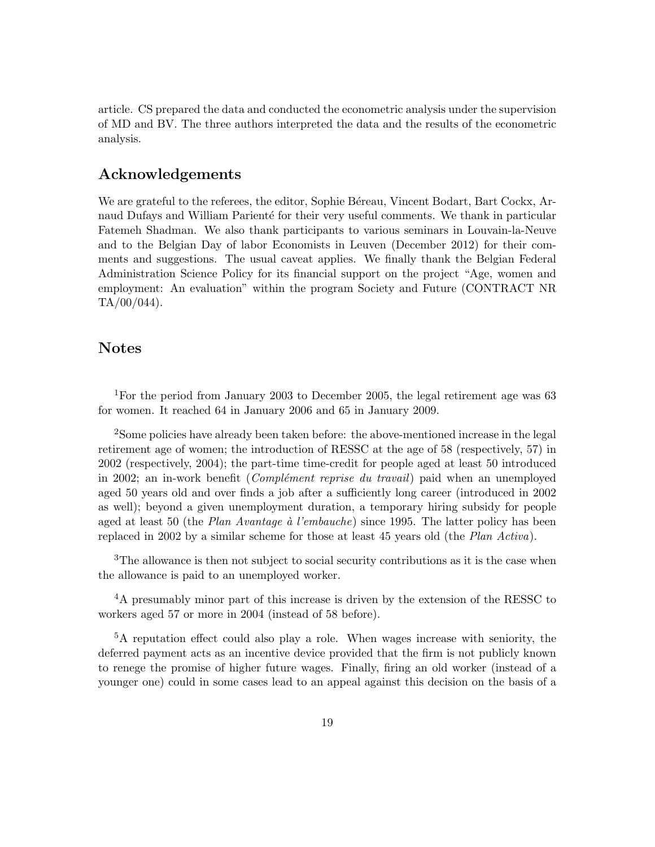article. CS prepared the data and conducted the econometric analysis under the supervision of MD and BV. The three authors interpreted the data and the results of the econometric analysis.

### Acknowledgements

We are grateful to the referees, the editor, Sophie Béreau, Vincent Bodart, Bart Cockx, Arnaud Dufays and William Parienté for their very useful comments. We thank in particular Fatemeh Shadman. We also thank participants to various seminars in Louvain-la-Neuve and to the Belgian Day of labor Economists in Leuven (December 2012) for their comments and suggestions. The usual caveat applies. We finally thank the Belgian Federal Administration Science Policy for its financial support on the project "Age, women and employment: An evaluation" within the program Society and Future (CONTRACT NR  $TA/00/044$ ).

### Notes

<sup>1</sup>For the period from January 2003 to December 2005, the legal retirement age was 63 for women. It reached 64 in January 2006 and 65 in January 2009.

<sup>2</sup>Some policies have already been taken before: the above-mentioned increase in the legal retirement age of women; the introduction of RESSC at the age of 58 (respectively, 57) in 2002 (respectively, 2004); the part-time time-credit for people aged at least 50 introduced in 2002; an in-work benefit (*Complément reprise du travail*) paid when an unemployed aged 50 years old and over finds a job after a sufficiently long career (introduced in 2002 as well); beyond a given unemployment duration, a temporary hiring subsidy for people aged at least 50 (the Plan Avantage  $\dot{a}$  l'embauche) since 1995. The latter policy has been replaced in 2002 by a similar scheme for those at least 45 years old (the Plan Activa).

<sup>3</sup>The allowance is then not subject to social security contributions as it is the case when the allowance is paid to an unemployed worker.

<sup>4</sup>A presumably minor part of this increase is driven by the extension of the RESSC to workers aged 57 or more in 2004 (instead of 58 before).

<sup>5</sup>A reputation effect could also play a role. When wages increase with seniority, the deferred payment acts as an incentive device provided that the firm is not publicly known to renege the promise of higher future wages. Finally, firing an old worker (instead of a younger one) could in some cases lead to an appeal against this decision on the basis of a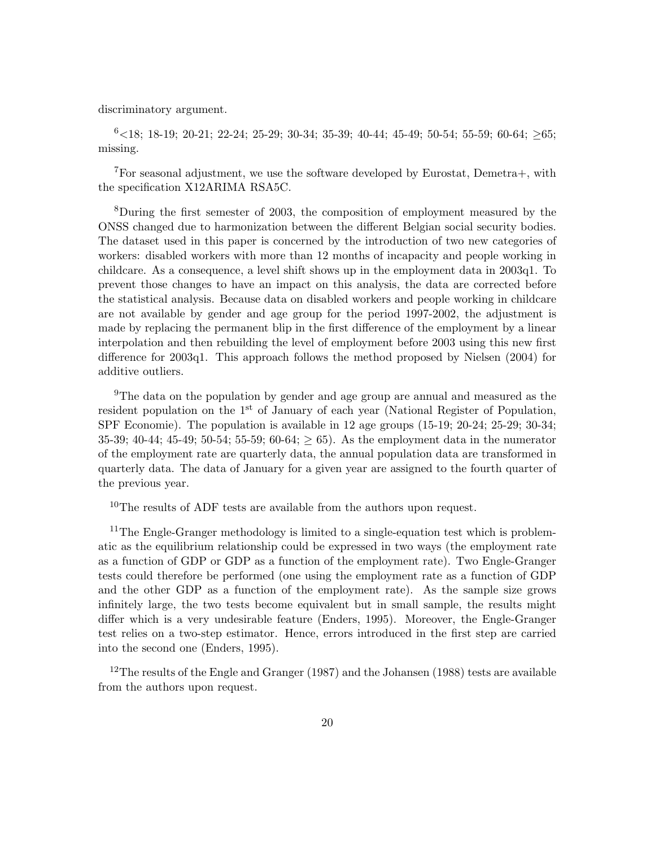discriminatory argument.

 $6$  < 18; 18-19; 20-21; 22-24; 25-29; 30-34; 35-39; 40-44; 45-49; 50-54; 55-59; 60-64;  $\geq 65$ ; missing.

<sup>7</sup>For seasonal adjustment, we use the software developed by Eurostat, Demetra+, with the specification X12ARIMA RSA5C.

<sup>8</sup>During the first semester of 2003, the composition of employment measured by the ONSS changed due to harmonization between the different Belgian social security bodies. The dataset used in this paper is concerned by the introduction of two new categories of workers: disabled workers with more than 12 months of incapacity and people working in childcare. As a consequence, a level shift shows up in the employment data in 2003q1. To prevent those changes to have an impact on this analysis, the data are corrected before the statistical analysis. Because data on disabled workers and people working in childcare are not available by gender and age group for the period 1997-2002, the adjustment is made by replacing the permanent blip in the first difference of the employment by a linear interpolation and then rebuilding the level of employment before 2003 using this new first difference for 2003q1. This approach follows the method proposed by [Nielsen](#page-24-12) [\(2004\)](#page-24-12) for additive outliers.

<sup>9</sup>The data on the population by gender and age group are annual and measured as the resident population on the  $1<sup>st</sup>$  of January of each year (National Register of Population, SPF Economie). The population is available in 12 age groups (15-19; 20-24; 25-29; 30-34; 35-39; 40-44; 45-49; 50-54; 55-59; 60-64;  $\geq$  65). As the employment data in the numerator of the employment rate are quarterly data, the annual population data are transformed in quarterly data. The data of January for a given year are assigned to the fourth quarter of the previous year.

<sup>10</sup>The results of ADF tests are available from the authors upon request.

<sup>11</sup>The Engle-Granger methodology is limited to a single-equation test which is problematic as the equilibrium relationship could be expressed in two ways (the employment rate as a function of GDP or GDP as a function of the employment rate). Two Engle-Granger tests could therefore be performed (one using the employment rate as a function of GDP and the other GDP as a function of the employment rate). As the sample size grows infinitely large, the two tests become equivalent but in small sample, the results might differ which is a very undesirable feature [\(Enders,](#page-22-11) [1995\)](#page-22-11). Moreover, the Engle-Granger test relies on a two-step estimator. Hence, errors introduced in the first step are carried into the second one [\(Enders,](#page-22-11) [1995\)](#page-22-11).

<sup>12</sup>The results of the [Engle and Granger](#page-23-11) [\(1987\)](#page-23-11) and the [Johansen](#page-23-12) [\(1988\)](#page-23-12) tests are available from the authors upon request.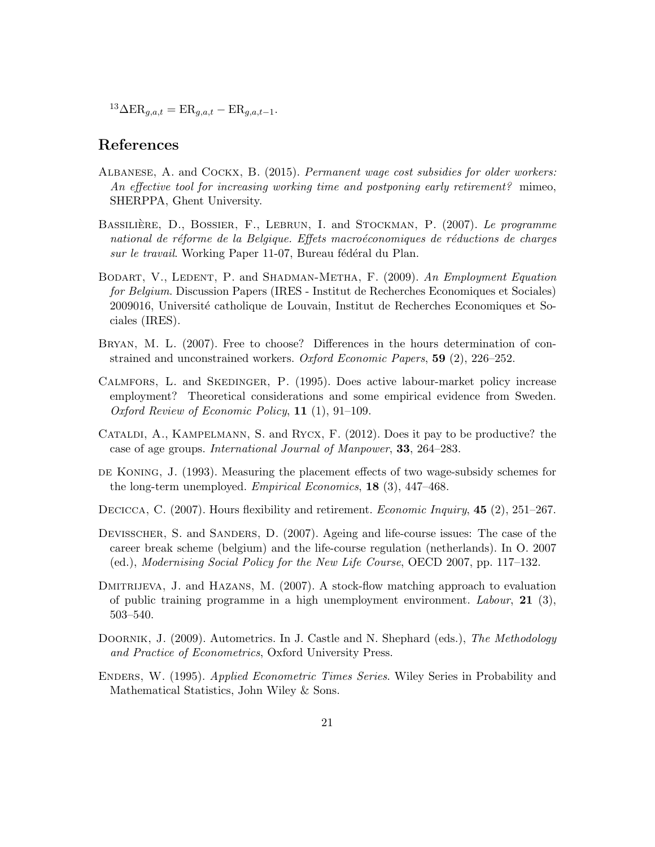${}^{13}\Delta \text{ER}_{g,a,t} = \text{ER}_{g,a,t} - \text{ER}_{g,a,t-1}.$ 

### References

- <span id="page-22-5"></span>Albanese, A. and Cockx, B. (2015). Permanent wage cost subsidies for older workers: An effective tool for increasing working time and postponing early retirement? mimeo, SHERPPA, Ghent University.
- <span id="page-22-4"></span>BASSILIÈRE, D., BOSSIER, F., LEBRUN, I. and STOCKMAN, P. (2007). Le programme national de réforme de la Belgique. Effets macroéconomiques de réductions de charges sur le travail. Working Paper 11-07, Bureau fédéral du Plan.
- <span id="page-22-0"></span>BODART, V., LEDENT, P. and SHADMAN-METHA, F. (2009). An Employment Equation for Belgium. Discussion Papers (IRES - Institut de Recherches Economiques et Sociales) 2009016, Université catholique de Louvain, Institut de Recherches Economiques et Sociales (IRES).
- <span id="page-22-7"></span>Bryan, M. L. (2007). Free to choose? Differences in the hours determination of constrained and unconstrained workers. Oxford Economic Papers, 59 (2), 226–252.
- <span id="page-22-3"></span>Calmfors, L. and Skedinger, P. (1995). Does active labour-market policy increase employment? Theoretical considerations and some empirical evidence from Sweden. Oxford Review of Economic Policy, 11 (1), 91–109.
- <span id="page-22-6"></span>Cataldi, A., Kampelmann, S. and Rycx, F. (2012). Does it pay to be productive? the case of age groups. International Journal of Manpower, 33, 264–283.
- <span id="page-22-2"></span>DE KONING, J. (1993). Measuring the placement effects of two wage-subsidy schemes for the long-term unemployed. *Empirical Economics*, **18** (3), 447–468.
- <span id="page-22-8"></span>DECICCA, C. (2007). Hours flexibility and retirement. *Economic Inquiry*, **45** (2), 251–267.
- <span id="page-22-9"></span>DEVISSCHER, S. and SANDERS, D. (2007). Ageing and life-course issues: The case of the career break scheme (belgium) and the life-course regulation (netherlands). In O. 2007 (ed.), Modernising Social Policy for the New Life Course, OECD 2007, pp. 117–132.
- <span id="page-22-1"></span>DMITRIJEVA, J. and HAZANS, M. (2007). A stock-flow matching approach to evaluation of public training programme in a high unemployment environment. Labour, 21 (3), 503–540.
- <span id="page-22-10"></span>DOORNIK, J. (2009). Autometrics. In J. Castle and N. Shephard (eds.), The Methodology and Practice of Econometrics, Oxford University Press.
- <span id="page-22-11"></span>Enders, W. (1995). Applied Econometric Times Series. Wiley Series in Probability and Mathematical Statistics, John Wiley & Sons.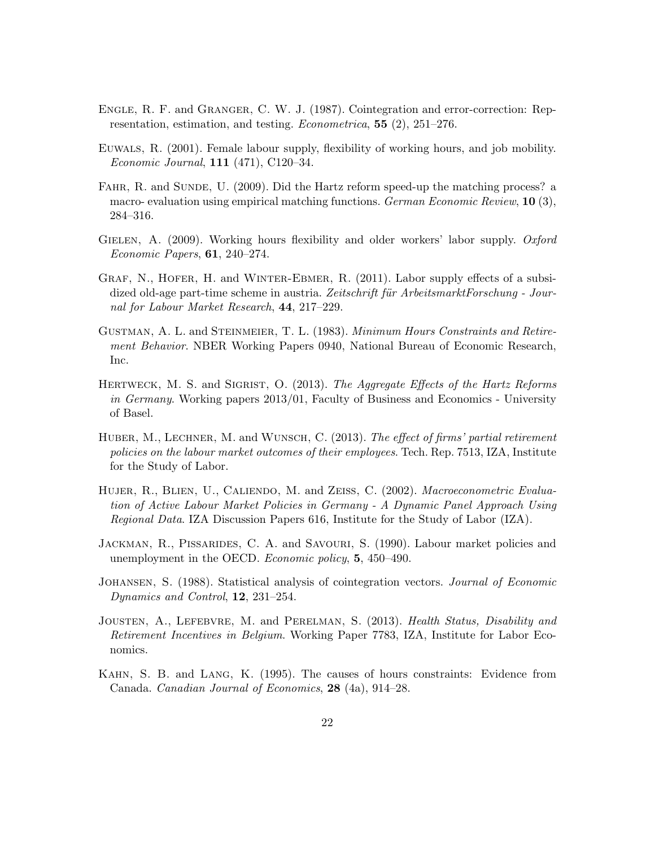- <span id="page-23-11"></span>Engle, R. F. and Granger, C. W. J. (1987). Cointegration and error-correction: Representation, estimation, and testing. Econometrica, 55 (2), 251–276.
- <span id="page-23-7"></span>Euwals, R. (2001). Female labour supply, flexibility of working hours, and job mobility. Economic Journal, 111 (471), C120–34.
- <span id="page-23-0"></span>FAHR, R. and SUNDE, U. (2009). Did the Hartz reform speed-up the matching process? a macro- evaluation using empirical matching functions. German Economic Review, 10 (3), 284–316.
- <span id="page-23-8"></span>GIELEN, A. (2009). Working hours flexibility and older workers' labor supply. Oxford Economic Papers, 61, 240–274.
- <span id="page-23-9"></span>GRAF, N., HOFER, H. and WINTER-EBMER, R. (2011). Labor supply effects of a subsidized old-age part-time scheme in austria. Zeitschrift für ArbeitsmarktForschung - Journal for Labour Market Research, 44, 217–229.
- <span id="page-23-5"></span>GUSTMAN, A. L. and STEINMEIER, T. L. (1983). Minimum Hours Constraints and Retirement Behavior. NBER Working Papers 0940, National Bureau of Economic Research, Inc.
- <span id="page-23-1"></span>HERTWECK, M. S. and SIGRIST, O. (2013). The Aggregate Effects of the Hartz Reforms in Germany. Working papers 2013/01, Faculty of Business and Economics - University of Basel.
- <span id="page-23-10"></span>HUBER, M., LECHNER, M. and WUNSCH, C. (2013). The effect of firms' partial retirement policies on the labour market outcomes of their employees. Tech. Rep. 7513, IZA, Institute for the Study of Labor.
- <span id="page-23-2"></span>HUJER, R., BLIEN, U., CALIENDO, M. and ZEISS, C. (2002). Macroeconometric Evaluation of Active Labour Market Policies in Germany - A Dynamic Panel Approach Using Regional Data. IZA Discussion Papers 616, Institute for the Study of Labor (IZA).
- <span id="page-23-3"></span>Jackman, R., Pissarides, C. A. and Savouri, S. (1990). Labour market policies and unemployment in the OECD. *Economic policy*, **5**, 450–490.
- <span id="page-23-12"></span>JOHANSEN, S. (1988). Statistical analysis of cointegration vectors. *Journal of Economic* Dynamics and Control, **12**, 231–254.
- <span id="page-23-4"></span>JOUSTEN, A., LEFEBVRE, M. and PERELMAN, S. (2013). Health Status, Disability and Retirement Incentives in Belgium. Working Paper 7783, IZA, Institute for Labor Economics.
- <span id="page-23-6"></span>Kahn, S. B. and Lang, K. (1995). The causes of hours constraints: Evidence from Canada. Canadian Journal of Economics, 28 (4a), 914–28.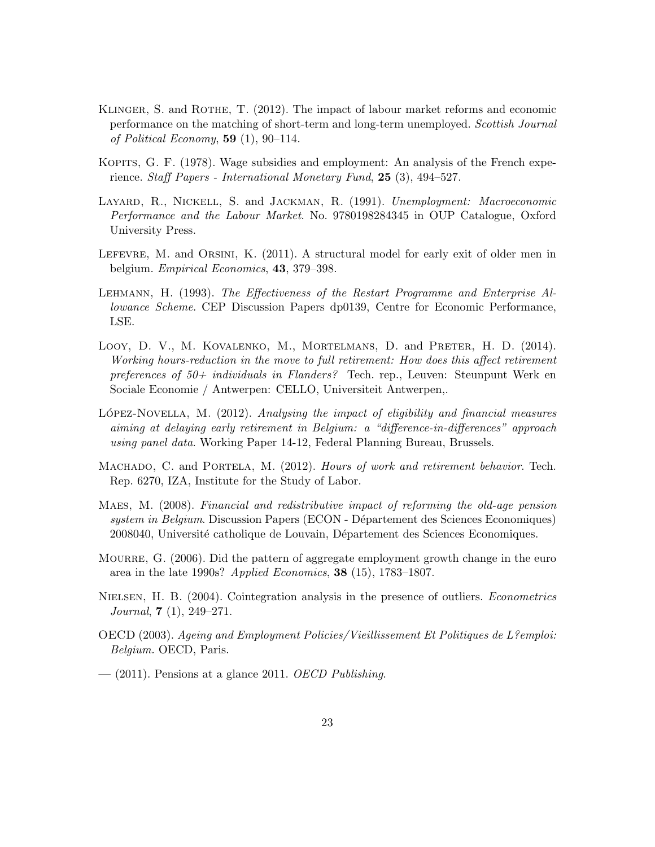- <span id="page-24-2"></span>KLINGER, S. and ROTHE, T. (2012). The impact of labour market reforms and economic performance on the matching of short-term and long-term unemployed. Scottish Journal of Political Economy,  $59(1)$ ,  $90-114$ .
- <span id="page-24-1"></span>KOPITS, G. F. (1978). Wage subsidies and employment: An analysis of the French experience. Staff Papers - International Monetary Fund, 25 (3), 494–527.
- <span id="page-24-4"></span>LAYARD, R., NICKELL, S. and JACKMAN, R. (1991). Unemployment: Macroeconomic Performance and the Labour Market. No. 9780198284345 in OUP Catalogue, Oxford University Press.
- <span id="page-24-6"></span>LEFEVRE, M. and ORSINI, K. (2011). A structural model for early exit of older men in belgium. Empirical Economics, 43, 379–398.
- <span id="page-24-3"></span>Lehmann, H. (1993). The Effectiveness of the Restart Programme and Enterprise Allowance Scheme. CEP Discussion Papers dp0139, Centre for Economic Performance, LSE.
- <span id="page-24-10"></span>Looy, D. V., M. Kovalenko, M., Mortelmans, D. and Preter, H. D. (2014). Working hours-reduction in the move to full retirement: How does this affect retirement preferences of  $50+$  individuals in Flanders? Tech. rep., Leuven: Steunpunt Werk en Sociale Economie / Antwerpen: CELLO, Universiteit Antwerpen,.
- <span id="page-24-7"></span>LOPEZ-NOVELLA, M.  $(2012)$ . Analysing the impact of eligibility and financial measures aiming at delaying early retirement in Belgium: a "difference-in-differences" approach using panel data. Working Paper 14-12, Federal Planning Bureau, Brussels.
- <span id="page-24-11"></span>MACHADO, C. and PORTELA, M. (2012). Hours of work and retirement behavior. Tech. Rep. 6270, IZA, Institute for the Study of Labor.
- <span id="page-24-9"></span>Maes, M. (2008). Financial and redistributive impact of reforming the old-age pension system in Belgium. Discussion Papers (ECON - Département des Sciences Economiques) 2008040, Université catholique de Louvain, Département des Sciences Economiques.
- <span id="page-24-0"></span>MOURRE, G. (2006). Did the pattern of aggregate employment growth change in the euro area in the late 1990s? Applied Economics, 38 (15), 1783–1807.
- <span id="page-24-12"></span>NIELSEN, H. B. (2004). Cointegration analysis in the presence of outliers. *Econometrics* Journal,  $7(1)$ , 249–271.
- <span id="page-24-8"></span>OECD (2003). Ageing and Employment Policies/Vieillissement Et Politiques de L?emploi: Belgium. OECD, Paris.
- <span id="page-24-5"></span> $-$  (2011). Pensions at a glance 2011. OECD Publishing.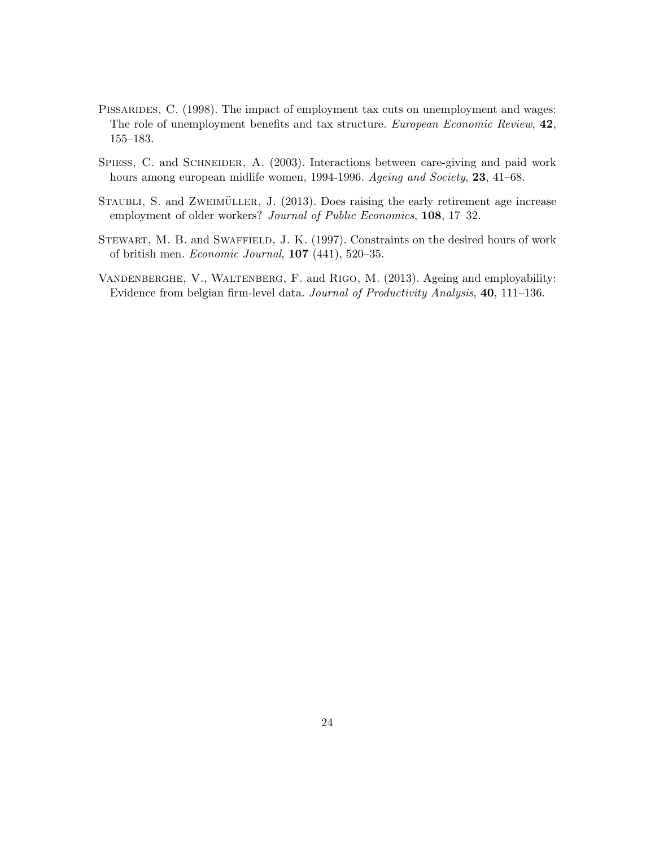- <span id="page-25-0"></span>PISSARIDES, C. (1998). The impact of employment tax cuts on unemployment and wages: The role of unemployment benefits and tax structure. European Economic Review, 42, 155–183.
- <span id="page-25-4"></span>SPIESS, C. and SCHNEIDER, A. (2003). Interactions between care-giving and paid work hours among european midlife women, 1994-1996. Ageing and Society, 23, 41–68.
- <span id="page-25-2"></span>STAUBLI, S. and ZWEIMÜLLER, J. (2013). Does raising the early retirement age increase employment of older workers? Journal of Public Economics, 108, 17–32.
- <span id="page-25-3"></span>STEWART, M. B. and SWAFFIELD, J. K. (1997). Constraints on the desired hours of work of british men. Economic Journal, 107 (441), 520–35.
- <span id="page-25-1"></span>Vandenberghe, V., Waltenberg, F. and Rigo, M. (2013). Ageing and employability: Evidence from belgian firm-level data. Journal of Productivity Analysis, 40, 111–136.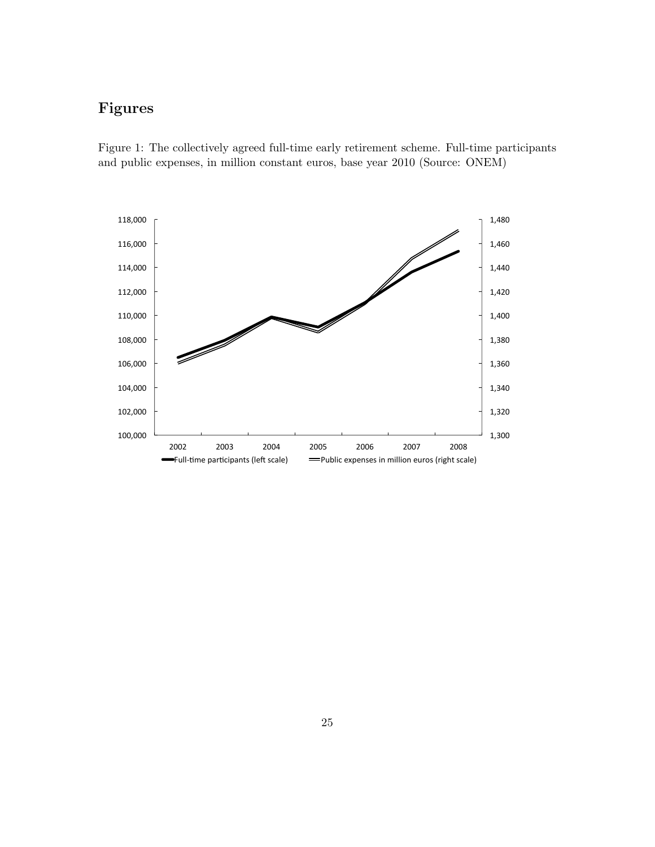## Figures

<span id="page-26-0"></span>Figure 1: The collectively agreed full-time early retirement scheme. Full-time participants and public expenses, in million constant euros, base year 2010 (Source: ONEM)

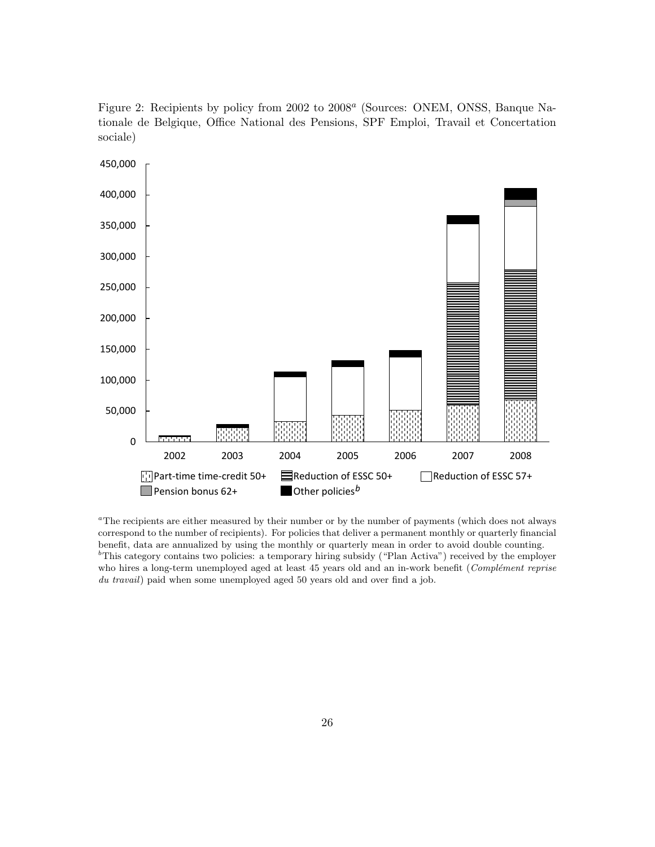<span id="page-27-0"></span>Figure 2: Recipients by policy from 2002 to 2008<sup>a</sup> (Sources: ONEM, ONSS, Banque Nationale de Belgique, Office National des Pensions, SPF Emploi, Travail et Concertation sociale)



<sup>a</sup>The recipients are either measured by their number or by the number of payments (which does not always correspond to the number of recipients). For policies that deliver a permanent monthly or quarterly financial benefit, data are annualized by using the monthly or quarterly mean in order to avoid double counting.  $b<sup>b</sup>$ This category contains two policies: a temporary hiring subsidy ("Plan Activa") received by the employer who hires a long-term unemployed aged at least 45 years old and an in-work benefit ( $Complement$  reprise du travail) paid when some unemployed aged 50 years old and over find a job.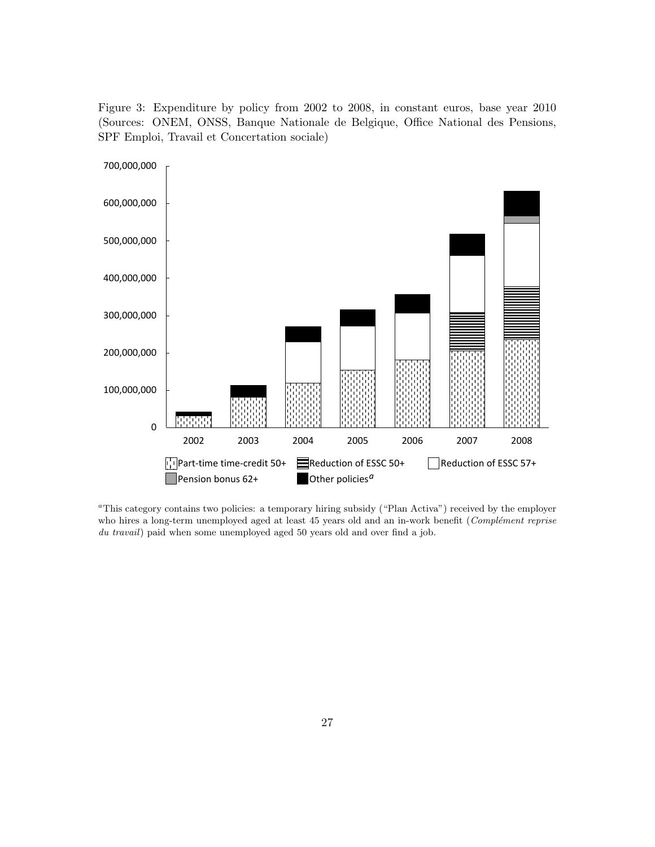<span id="page-28-0"></span>Figure 3: Expenditure by policy from 2002 to 2008, in constant euros, base year 2010 (Sources: ONEM, ONSS, Banque Nationale de Belgique, Office National des Pensions, SPF Emploi, Travail et Concertation sociale)



<sup>a</sup>This category contains two policies: a temporary hiring subsidy ("Plan Activa") received by the employer who hires a long-term unemployed aged at least 45 years old and an in-work benefit (Complément reprise du travail) paid when some unemployed aged 50 years old and over find a job.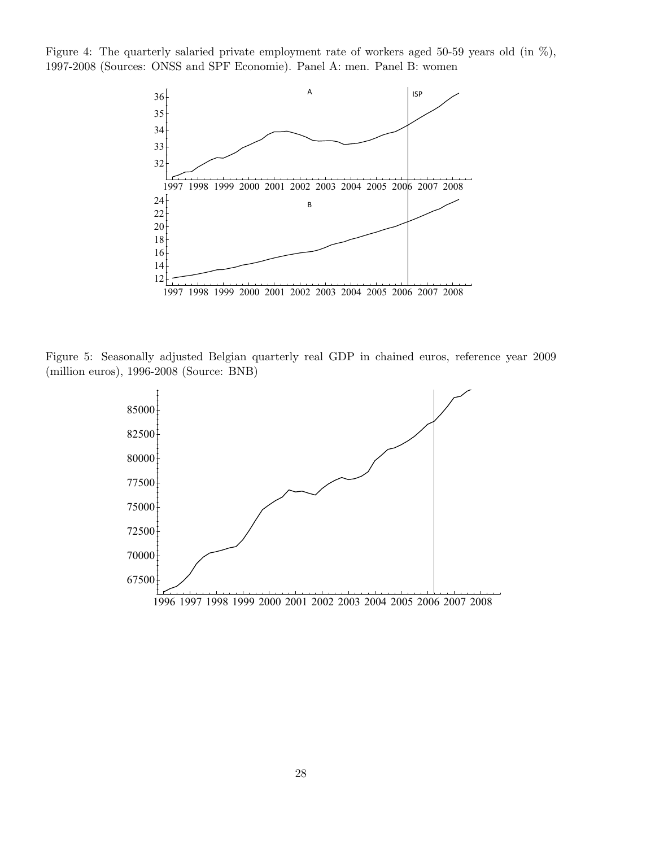<span id="page-29-0"></span>Figure 4: The quarterly salaried private employment rate of workers aged 50-59 years old (in %), 1997-2008 (Sources: ONSS and SPF Economie). Panel A: men. Panel B: women



<span id="page-29-1"></span>Figure 5: Seasonally adjusted Belgian quarterly real GDP in chained euros, reference year 2009 (million euros), 1996-2008 (Source: BNB)

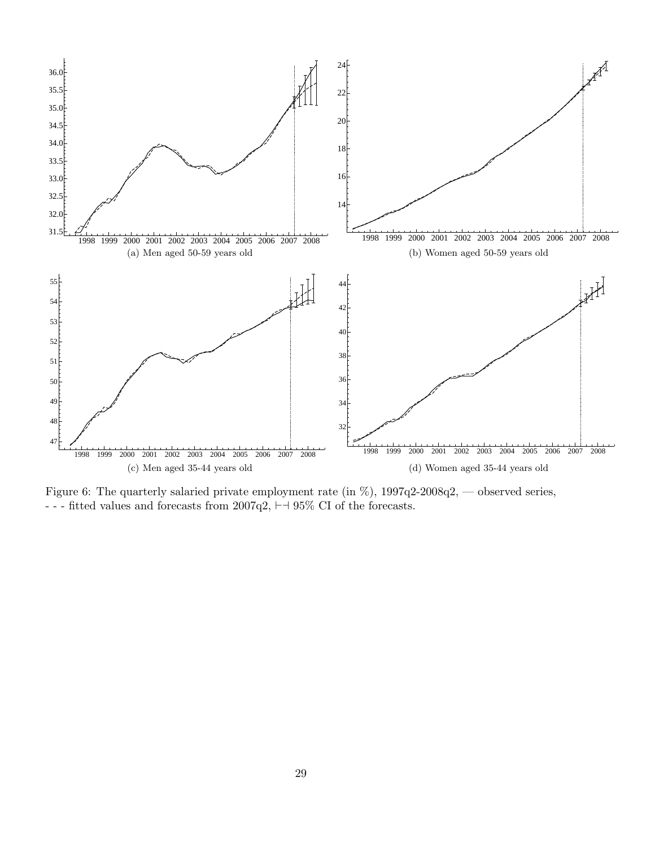<span id="page-30-0"></span>

Figure 6: The quarterly salaried private employment rate (in %), 1997q2-2008q2, — observed series, - - - fitted values and forecasts from 2007q2,  $\vdash\!\dashv$  95% CI of the forecasts.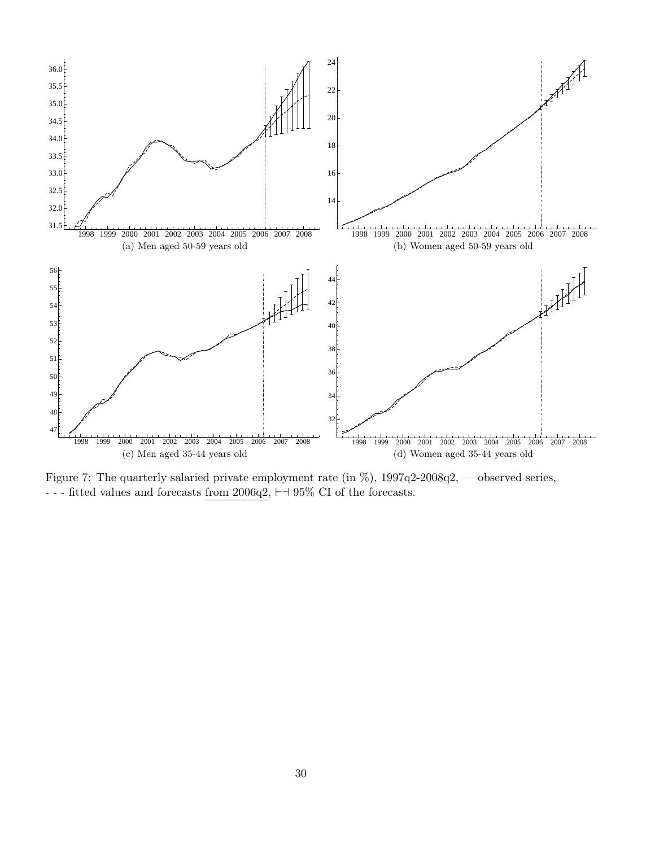<span id="page-31-0"></span>

Figure 7: The quarterly salaried private employment rate (in %), 1997q2-2008q2, — observed series, - - - fitted values and forecasts  $\underline{\text{from 2006q2}},$ <br> $\vdash\!\dashv$  95% CI of the forecasts.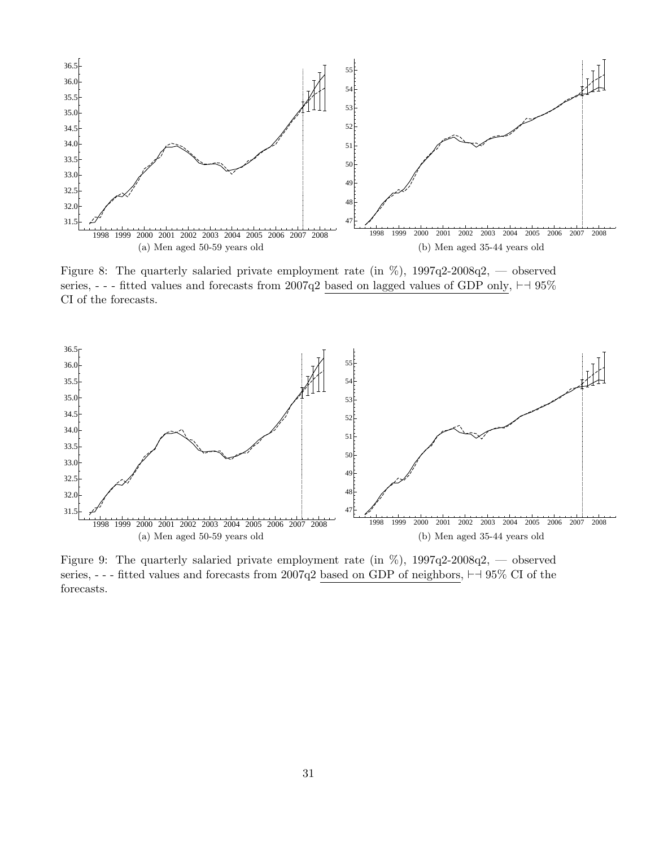<span id="page-32-0"></span>

Figure 8: The quarterly salaried private employment rate (in  $\%$ ), 1997q2-2008q2, — observed series, - - - fitted values and forecasts from 2007q2 based on lagged values of GDP only,  $\vdash \dashv 95\%$ CI of the forecasts.

<span id="page-32-1"></span>

Figure 9: The quarterly salaried private employment rate (in  $\%$ ), 1997q2-2008q2, — observed series, - - - fitted values and forecasts from 2007q2 based on GDP of neighbors,  $\vdash$  495% CI of the forecasts.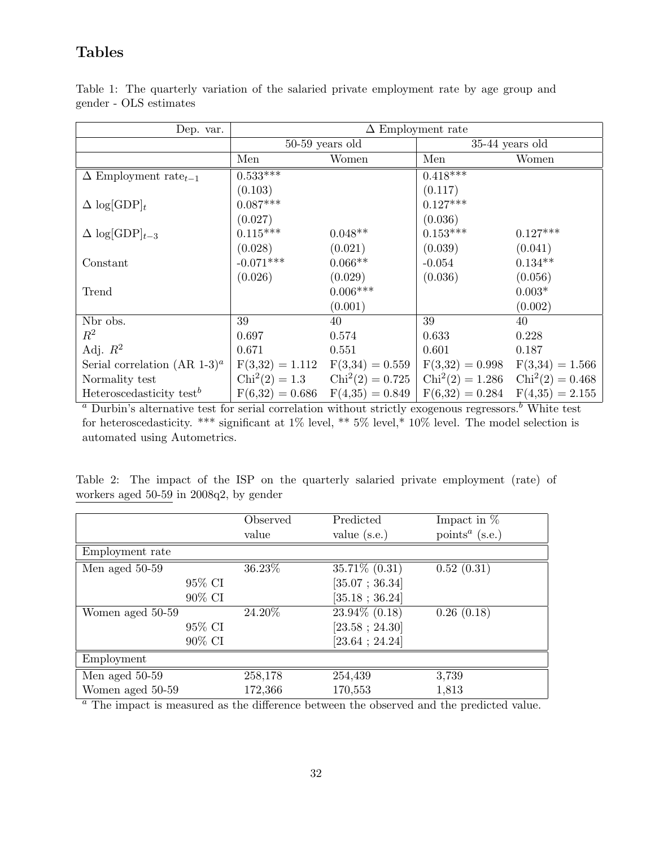## Tables

| Dep. var.                                       | $\Delta$ Employment rate |                                     |                                                                         |            |
|-------------------------------------------------|--------------------------|-------------------------------------|-------------------------------------------------------------------------|------------|
|                                                 | $50-59$ years old        |                                     | $35-44$ years old                                                       |            |
|                                                 | Men                      | Women                               | Men                                                                     | Women      |
| $\Delta$ Employment rate <sub>t-1</sub>         | $0.533***$               |                                     | $0.418***$                                                              |            |
|                                                 | (0.103)                  |                                     | (0.117)                                                                 |            |
| $\Delta \log[\text{GDP}]_t$                     | $0.087***$               |                                     | $0.127***$                                                              |            |
|                                                 | (0.027)                  |                                     | (0.036)                                                                 |            |
| $\Delta \log[\text{GDP}]_{t-3}$                 | $0.115^{***}\,$          | $0.048**$                           | $0.153***$                                                              | $0.127***$ |
|                                                 | (0.028)                  | (0.021)                             | (0.039)                                                                 | (0.041)    |
| Constant                                        | $-0.071***$              | $0.066**$                           | $-0.054$                                                                | $0.134**$  |
|                                                 | (0.026)                  | (0.029)                             | (0.036)                                                                 | (0.056)    |
| Trend                                           |                          | $0.006***$                          |                                                                         | $0.003*$   |
|                                                 |                          | (0.001)                             |                                                                         | (0.002)    |
| Nbr obs.                                        | 39                       | 40                                  | 39                                                                      | 40         |
| $R^2$                                           | 0.697                    | 0.574                               | 0.633                                                                   | 0.228      |
| Adj. $R^2$                                      | 0.671                    | 0.551                               | 0.601                                                                   | 0.187      |
| Serial correlation (AR 1-3) <sup><i>a</i></sup> |                          | $F(3,32) = 1.112$ $F(3,34) = 0.559$ | $F(3,32) = 0.998$ $F(3,34) = 1.566$                                     |            |
| Normality test                                  |                          |                                     | $Chi2(2) = 1.3$ $Chi2(2) = 0.725$ $Chi2(2) = 1.286$ $Chi2(2) = 0.468$   |            |
| Heteroscedasticity test <sup>b</sup>            |                          |                                     | $F(6,32) = 0.686$ $F(4,35) = 0.849$ $F(6,32) = 0.284$ $F(4,35) = 2.155$ |            |

<span id="page-33-0"></span>Table 1: The quarterly variation of the salaried private employment rate by age group and gender - OLS estimates

 $a$  Durbin's alternative test for serial correlation without strictly exogenous regressors.<sup>b</sup> White test for heteroscedasticity. \*\*\* significant at 1% level, \*\* 5% level,\* 10% level. The model selection is automated using Autometrics.

<span id="page-33-1"></span>Table 2: The impact of the ISP on the quarterly salaried private employment (rate) of workers aged 50-59 in 2008q2, by gender

|                  | Observed | Predicted               | Impact in $%$                           |
|------------------|----------|-------------------------|-----------------------------------------|
|                  | value    | value $(s.e.)$          | points <sup><math>a</math></sup> (s.e.) |
| Employment rate  |          |                         |                                         |
| Men aged 50-59   | 36.23%   | $35.71\% (0.31)$        | 0.52(0.31)                              |
| 95% CI           |          | [35.07; 36.34]          |                                         |
| 90% CI           |          | $[35.18 \; ; \; 36.24]$ |                                         |
| Women aged 50-59 | 24.20%   | 23.94% (0.18)           | 0.26(0.18)                              |
| 95% CI           |          | [23.58; 24.30]          |                                         |
| 90% CI           |          | [23.64 ; 24.24]         |                                         |
| Employment       |          |                         |                                         |
| Men aged 50-59   | 258,178  | 254,439                 | 3,739                                   |
| Women aged 50-59 | 172,366  | 170,553                 | 1,813                                   |

<sup>a</sup> The impact is measured as the difference between the observed and the predicted value.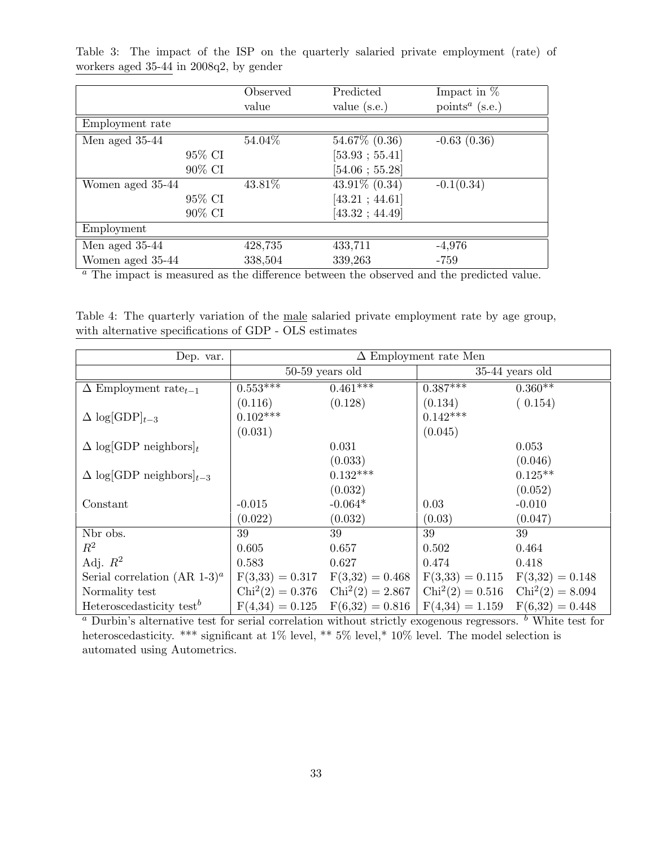|                  | Observed<br>value | Predicted<br>value $(s.e.)$ | Impact in $%$<br>points <sup><math>a</math></sup> (s.e.) |
|------------------|-------------------|-----------------------------|----------------------------------------------------------|
| Employment rate  |                   |                             |                                                          |
| Men aged 35-44   | 54.04%            | 54.67% (0.36)               | $-0.63(0.36)$                                            |
| 95% CI           |                   | [53.93; 55.41]              |                                                          |
| 90% CI           |                   | $[54.06 \; ; \; 55.28]$     |                                                          |
| Women aged 35-44 | 43.81%            | $43.91\% (0.34)$            | $-0.1(0.34)$                                             |
| 95% CI           |                   | [43.21; 44.61]              |                                                          |
| 90% CI           |                   | $[43.32 \; ; \; 44.49]$     |                                                          |
| Employment       |                   |                             |                                                          |
| Men aged 35-44   | 428,735           | 433,711                     | $-4,976$                                                 |
| Women aged 35-44 | 338,504           | 339,263                     | -759                                                     |

<span id="page-34-0"></span>Table 3: The impact of the ISP on the quarterly salaried private employment (rate) of workers aged 35-44 in 2008q2, by gender

<sup>a</sup> The impact is measured as the difference between the observed and the predicted value.

<span id="page-34-1"></span>Table 4: The quarterly variation of the male salaried private employment rate by age group, with alternative specifications of GDP - OLS estimates

| Dep. var.                                       | $\Delta$ Employment rate Men |            |                                                                         |                   |
|-------------------------------------------------|------------------------------|------------|-------------------------------------------------------------------------|-------------------|
|                                                 | $50-59$ years old            |            | $35-44$ years old                                                       |                   |
| $\Delta$ Employment rate <sub>t-1</sub>         | $0.553***$                   | $0.461***$ | $0.387***$                                                              | $0.360**$         |
|                                                 | (0.116)                      | (0.128)    | (0.134)                                                                 | (0.154)           |
| $\Delta \log[\text{GDP}]_{t-3}$                 | $0.102***$                   |            | $0.142***$                                                              |                   |
|                                                 | (0.031)                      |            | (0.045)                                                                 |                   |
| $\Delta$ log[GDP neighbors] <sub>t</sub>        |                              | 0.031      |                                                                         | 0.053             |
|                                                 |                              | (0.033)    |                                                                         | (0.046)           |
| $\Delta$ log[GDP neighbors] <sub>t-3</sub>      |                              | $0.132***$ |                                                                         | $0.125**$         |
|                                                 |                              | (0.032)    |                                                                         | (0.052)           |
| Constant                                        | $-0.015$                     | $-0.064*$  | 0.03                                                                    | $-0.010$          |
|                                                 | (0.022)                      | (0.032)    | (0.03)                                                                  | (0.047)           |
| Nbr obs.                                        | 39                           | 39         | 39                                                                      | 39                |
| $\mathbb{R}^2$                                  | 0.605                        | 0.657      | 0.502                                                                   | 0.464             |
| Adj. $R^2$                                      | 0.583                        | 0.627      | 0.474                                                                   | 0.418             |
| Serial correlation (AR 1-3) <sup><i>a</i></sup> |                              |            | $F(3,33) = 0.317$ $F(3,32) = 0.468$ $F(3,33) = 0.115$ $F(3,32) = 0.148$ |                   |
| Normality test                                  |                              |            | $Chi2(2) = 0.376$ $Chi2(2) = 2.867$ $Chi2(2) = 0.516$ $Chi2(2) = 8.094$ |                   |
| Heteroscedasticity test <sup>b</sup>            |                              |            | $F(4,34) = 0.125$ $F(6,32) = 0.816$ $F(4,34) = 1.159$                   | $F(6,32) = 0.448$ |

<sup>*a*</sup> Durbin's alternative test for serial correlation without strictly exogenous regressors. <sup>*b*</sup> White test for heteroscedasticity. \*\*\* significant at 1% level, \*\* 5% level, \* 10% level. The model selection is automated using Autometrics.